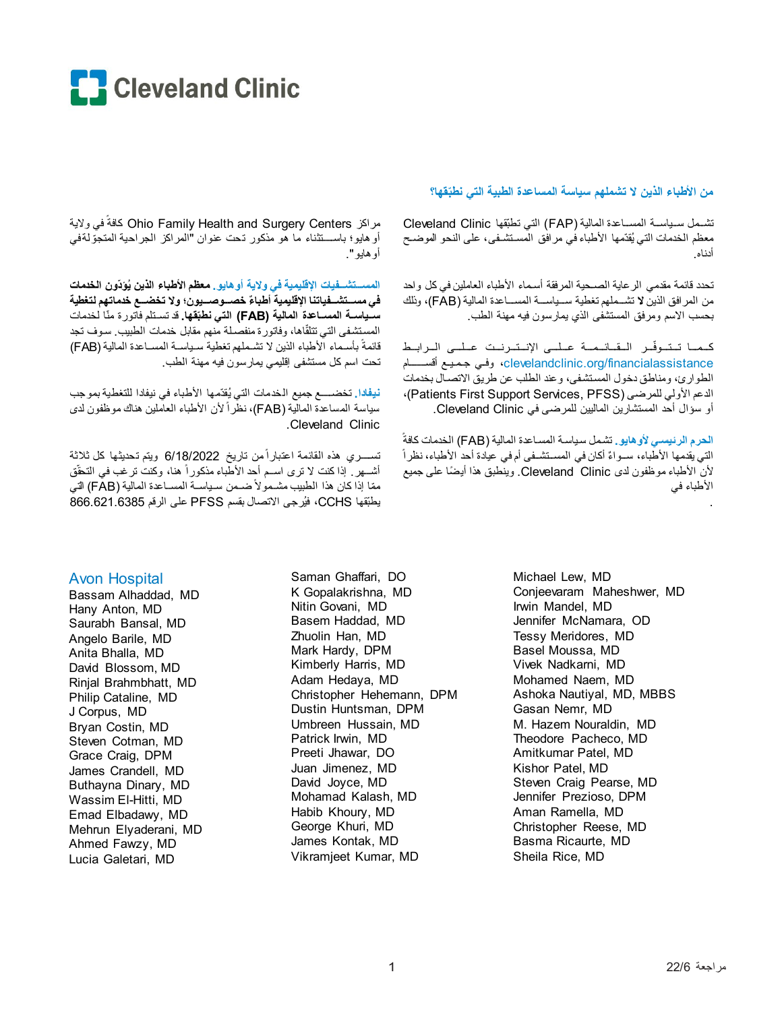

#### من الأطباء الذين لا تشملهم سباسة المساعدة الطببة التي نطبَقها؟

تشمل سياسة المساعدة المالية (FAP) التي تطبّقها Cleveland Clinic معظم الخدمات التي يُقدّمها الأطباء في مرافق المسـتشـفـى، علـى النحو الموضـح أدناه

تحدد قائمة مقدمي الرعاية الصحية المرفقة أسماء الأطباء العاملين في كل ولحد من المر افق الذين لا تشــملهم تغطية ســياســة المســاعدة المالية (FAB)، وذلك بحسب الاسم ومرفق المستشفى الذي يمارسون فيه مهنة الطب

كحما تتوفّر القائمية عليى الإنترنت عليى الرابط clevelandclinic.org/financialassistance، وفي جميع أقســــام الطوارئ، ومناطق دخول المستشفى، وعند الطلب عن طريق الاتصال بخدمات الدعم الأولى للمرضى (Patients First Support Services, PFSS)، أو سؤال أحد المستشارين الماليين للمرضى في Cleveland Clinic.

الحرم الرئيسي لأو هايو . تشمل سياسة المساعدة المالية (FAB) الخدمات كافةً التي يقدمها الأطباء، ســواءٌ أكان في المســتشــفي أم في عيادة أحد الأطباء، نظر اً لأن الأطباء موظفون لدى Cleveland Clinic. وينطبق هذا أيضًا على جميع الأطباء في

مراكز Ohio Family Health and Surgery Centers كافةً في ولاية أو هايو؛ باســـنثناء ما هو مذكور نـحت عنوان "المراكز الـجراحية المتجوّلةفي أو هايو ".

المسستشسـفيات الإقليمية في ولاية أو هايو ـ معظم الأطباء الذين يُوَدّون الخدمات في مســتشـــفياتنا الإقليمية أطباءً خصـــوصـــيون؛ ولا تخضـــع خدماتهم لتغطية سبياســـة المســـاعدة المالية (FAB) التي نطبَقها. قد تسـتلم فاتور ة منّا لخدمات المستشفى التي تتلقّاها، وفاتورة منفصلة منهم مقابل خدمات الطبيب سوف تجد قائمةً بأسماء الأطباء الذين لا تشـملهم تغطية سـياسـة المسـاعدة المالية (FAB) تحت اسم كل مستشفى إقليمي يمارسون فيه مهنة الطب

نيفلاا. تخضـــــع جميع الـخدمات التي يُقدّمها الأطباء في نيفادا للتغطية بمو جب سياسة المساعدة المالية (FAB)، نظراً لأن الأطباء العاملين هناك موظفون لدي .Cleveland Clinic

تســـــــــري هذه المقائمة اعتباراً من تاريخ 6/18/2022 ويتم تـحديثـها كل ثلاثة أشـــهر ٍ إذا كنت لا نرى اســم أحد الأطباء مذكوراً هنا، وكنت نرغب في التحقُّق ممّا إذا كان هذا الطبيب مشـمو لاً ضـمن سـباســة المســاعدة المالية (FAB) التي يطبِّقها CCHS، فيُز جي الاتصال بقسم PFSS على الرقم 866.621.6385

### **Avon Hospital**

Bassam Alhaddad, MD Hany Anton, MD Saurabh Bansal, MD Angelo Barile, MD Anita Bhalla, MD David Blossom, MD Rinjal Brahmbhatt, MD Philip Cataline, MD J Corpus, MD Bryan Costin, MD Steven Cotman, MD Grace Craig, DPM James Crandell, MD Buthayna Dinary, MD Wassim El-Hitti, MD Emad Elbadawy, MD Mehrun Elyaderani, MD Ahmed Fawzy, MD Lucia Galetari. MD

Saman Ghaffari, DO K Gopalakrishna. MD Nitin Govani. MD Basem Haddad, MD Zhuolin Han, MD Mark Hardy, DPM Kimberly Harris, MD Adam Hedaya, MD Christopher Hehemann. DPM Dustin Huntsman, DPM Umbreen Hussain, MD Patrick Irwin, MD Preeti Jhawar, DO Juan Jimenez. MD David Joyce, MD Mohamad Kalash, MD Habib Khoury, MD George Khuri, MD James Kontak, MD Vikramjeet Kumar, MD

Michael Lew, MD Conieevaram Maheshwer, MD Irwin Mandel. MD Jennifer McNamara, OD Tessy Meridores, MD Basel Moussa, MD Vivek Nadkarni, MD Mohamed Naem, MD Ashoka Nautiyal, MD, MBBS Gasan Nemr, MD M. Hazem Nouraldin, MD Theodore Pacheco, MD Amitkumar Patel, MD Kishor Patel, MD Steven Craig Pearse, MD Jennifer Prezioso, DPM Aman Ramella, MD Christopher Reese, MD Basma Ricaurte, MD Sheila Rice, MD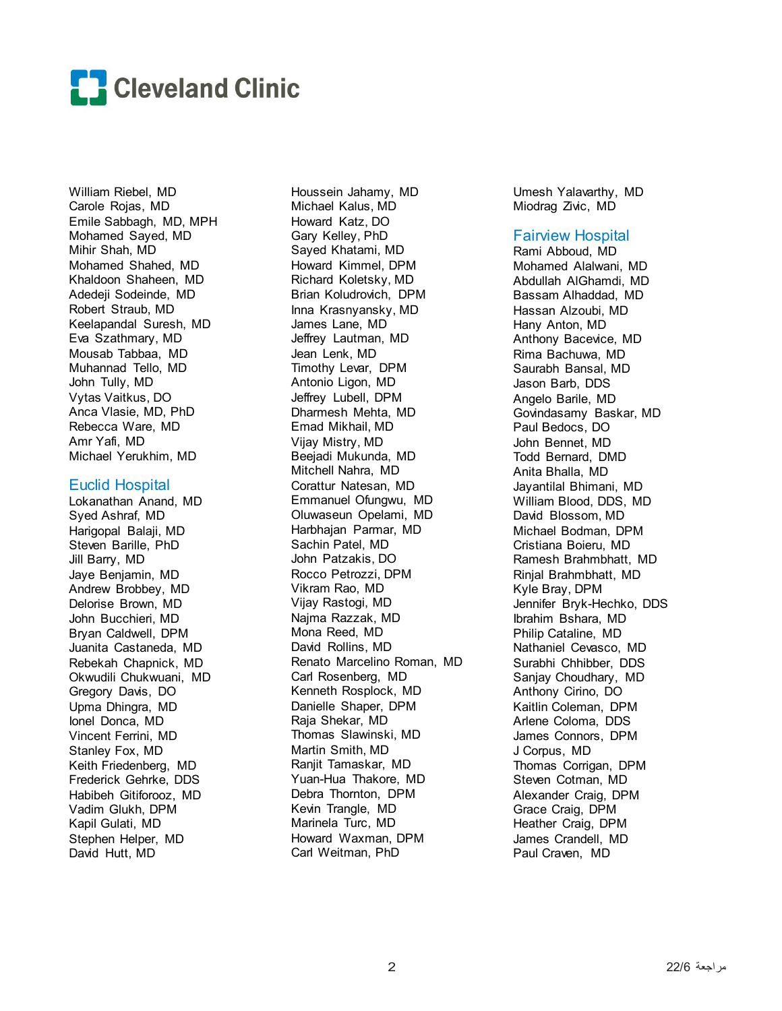

William Riebel, MD Carole Rojas, MD Emile Sabbagh, MD, MPH Mohamed Sayed, MD Mihir Shah, MD Mohamed Shahed, MD Khaldoon Shaheen, MD Adedeji Sodeinde, MD Robert Straub, MD Keelapandal Suresh, MD Eva Szathmary, MD Mousab Tabbaa, MD Muhannad Tello, MD John Tully, MD Vytas Vaitkus, DO Anca Vlasie, MD, PhD Rebecca Ware, MD Amr Yafi, MD Michael Yerukhim, MD

#### Euclid Hospital

Lokanathan Anand, MD Syed Ashraf, MD Harigopal Balaji, MD Steven Barille, PhD Jill Barry, MD Jaye Benjamin, MD Andrew Brobbey, MD Delorise Brown, MD John Bucchieri, MD Bryan Caldwell, DPM Juanita Castaneda, MD Rebekah Chapnick, MD Okwudili Chukwuani, MD Gregory Davis, DO Upma Dhingra, MD Ionel Donca, MD Vincent Ferrini, MD Stanley Fox, MD Keith Friedenberg, MD Frederick Gehrke, DDS Habibeh Gitiforooz, MD Vadim Glukh, DPM Kapil Gulati, MD Stephen Helper, MD David Hutt, MD

Houssein Jahamy, MD Michael Kalus, MD Howard Katz, DO Gary Kelley, PhD Sayed Khatami, MD Howard Kimmel, DPM Richard Koletsky, MD Brian Koludrovich, DPM Inna Krasnyansky, MD James Lane, MD Jeffrey Lautman, MD Jean Lenk, MD Timothy Levar, DPM Antonio Ligon, MD Jeffrey Lubell, DPM Dharmesh Mehta, MD Emad Mikhail, MD Vijay Mistry, MD Beejadi Mukunda, MD Mitchell Nahra, MD Corattur Natesan, MD Emmanuel Ofungwu, MD Oluwaseun Opelami, MD Harbhajan Parmar, MD Sachin Patel, MD John Patzakis, DO Rocco Petrozzi, DPM Vikram Rao, MD Vijay Rastogi, MD Najma Razzak, MD Mona Reed, MD David Rollins, MD Renato Marcelino Roman, MD Carl Rosenberg, MD Kenneth Rosplock, MD Danielle Shaper, DPM Raja Shekar, MD Thomas Slawinski, MD Martin Smith, MD Ranjit Tamaskar, MD Yuan-Hua Thakore, MD Debra Thornton, DPM Kevin Trangle, MD Marinela Turc, MD Howard Waxman, DPM Carl Weitman, PhD

Umesh Yalavarthy, MD Miodrag Zivic, MD

#### Fairview Hospital

Rami Abboud, MD Mohamed Alalwani, MD Abdullah AlGhamdi, MD Bassam Alhaddad, MD Hassan Alzoubi, MD Hany Anton, MD Anthony Bacevice, MD Rima Bachuwa, MD Saurabh Bansal, MD Jason Barb, DDS Angelo Barile, MD Govindasamy Baskar, MD Paul Bedocs, DO John Bennet, MD Todd Bernard, DMD Anita Bhalla, MD Jayantilal Bhimani, MD William Blood, DDS, MD David Blossom, MD Michael Bodman, DPM Cristiana Boieru, MD Ramesh Brahmbhatt, MD Rinjal Brahmbhatt, MD Kyle Bray, DPM Jennifer Bryk-Hechko, DDS Ibrahim Bshara, MD Philip Cataline, MD Nathaniel Cevasco, MD Surabhi Chhibber, DDS Sanjay Choudhary, MD Anthony Cirino, DO Kaitlin Coleman, DPM Arlene Coloma, DDS James Connors, DPM J Corpus, MD Thomas Corrigan, DPM Steven Cotman, MD Alexander Craig, DPM Grace Craig, DPM Heather Craig, DPM James Crandell, MD Paul Craven, MD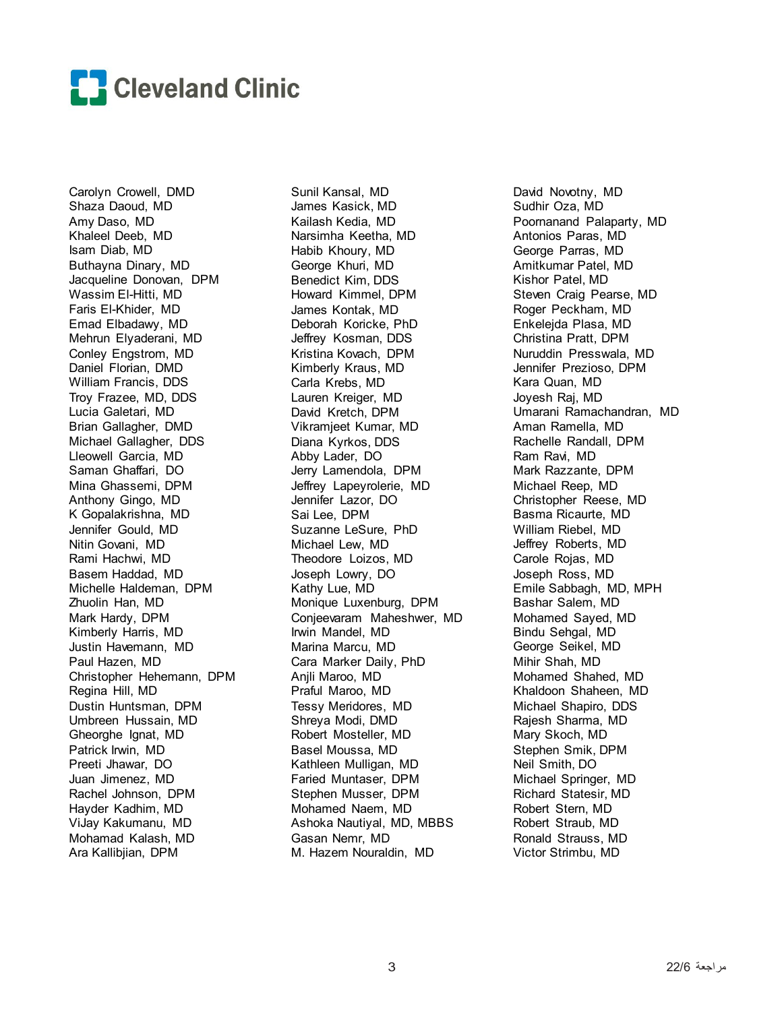

Carolyn Crowell, DMD Shaza Daoud, MD Amy Daso, MD Khaleel Deeb, MD Isam Diab, MD Buthayna Dinary, MD Jacqueline Donovan, DPM Wassim El-Hitti, MD Faris El-Khider, MD Emad Elbadawy, MD Mehrun Elyaderani, MD Conley Engstrom, MD Daniel Florian, DMD William Francis, DDS Troy Frazee, MD, DDS Lucia Galetari, MD Brian Gallagher, DMD Michael Gallagher, DDS Lleowell Garcia, MD Saman Ghaffari, DO Mina Ghassemi, DPM Anthony Gingo, MD K Gopalakrishna, MD Jennifer Gould, MD Nitin Govani, MD Rami Hachwi, MD Basem Haddad, MD Michelle Haldeman, DPM Zhuolin Han, MD Mark Hardy, DPM Kimberly Harris, MD Justin Havemann, MD Paul Hazen, MD Christopher Hehemann, DPM Regina Hill, MD Dustin Huntsman, DPM Umbreen Hussain, MD Gheorghe Ignat, MD Patrick Irwin, MD Preeti Jhawar, DO Juan Jimenez, MD Rachel Johnson, DPM Hayder Kadhim, MD ViJay Kakumanu, MD Mohamad Kalash, MD Ara Kallibjian, DPM

Sunil Kansal, MD James Kasick, MD Kailash Kedia, MD Narsimha Keetha, MD Habib Khoury, MD George Khuri, MD Benedict Kim, DDS Howard Kimmel, DPM James Kontak, MD Deborah Koricke, PhD Jeffrey Kosman, DDS Kristina Kovach, DPM Kimberly Kraus, MD Carla Krebs, MD Lauren Kreiger, MD David Kretch, DPM Vikramjeet Kumar, MD Diana Kyrkos, DDS Abby Lader, DO Jerry Lamendola, DPM Jeffrey Lapeyrolerie, MD Jennifer Lazor, DO Sai Lee, DPM Suzanne LeSure, PhD Michael Lew, MD Theodore Loizos, MD Joseph Lowry, DO Kathy Lue, MD Monique Luxenburg, DPM Conjeevaram Maheshwer, MD Irwin Mandel, MD Marina Marcu, MD Cara Marker Daily, PhD Anjli Maroo, MD Praful Maroo, MD Tessy Meridores, MD Shreya Modi, DMD Robert Mosteller, MD Basel Moussa, MD Kathleen Mulligan, MD Faried Muntaser, DPM Stephen Musser, DPM Mohamed Naem, MD Ashoka Nautiyal, MD, MBBS Gasan Nemr, MD M. Hazem Nouraldin, MD

David Novotny, MD Sudhir Oza, MD Poornanand Palaparty, MD Antonios Paras, MD George Parras, MD Amitkumar Patel, MD Kishor Patel, MD Steven Craig Pearse, MD Roger Peckham, MD Enkelejda Plasa, MD Christina Pratt, DPM Nuruddin Presswala, MD Jennifer Prezioso, DPM Kara Quan, MD Joyesh Raj, MD Umarani Ramachandran, MD Aman Ramella, MD Rachelle Randall, DPM Ram Ravi, MD Mark Razzante, DPM Michael Reep, MD Christopher Reese, MD Basma Ricaurte, MD William Riebel, MD Jeffrey Roberts, MD Carole Rojas, MD Joseph Ross, MD Emile Sabbagh, MD, MPH Bashar Salem, MD Mohamed Sayed, MD Bindu Sehgal, MD George Seikel, MD Mihir Shah, MD Mohamed Shahed, MD Khaldoon Shaheen, MD Michael Shapiro, DDS Rajesh Sharma, MD Mary Skoch, MD Stephen Smik, DPM Neil Smith, DO Michael Springer, MD Richard Statesir, MD Robert Stern, MD Robert Straub, MD Ronald Strauss, MD Victor Strimbu, MD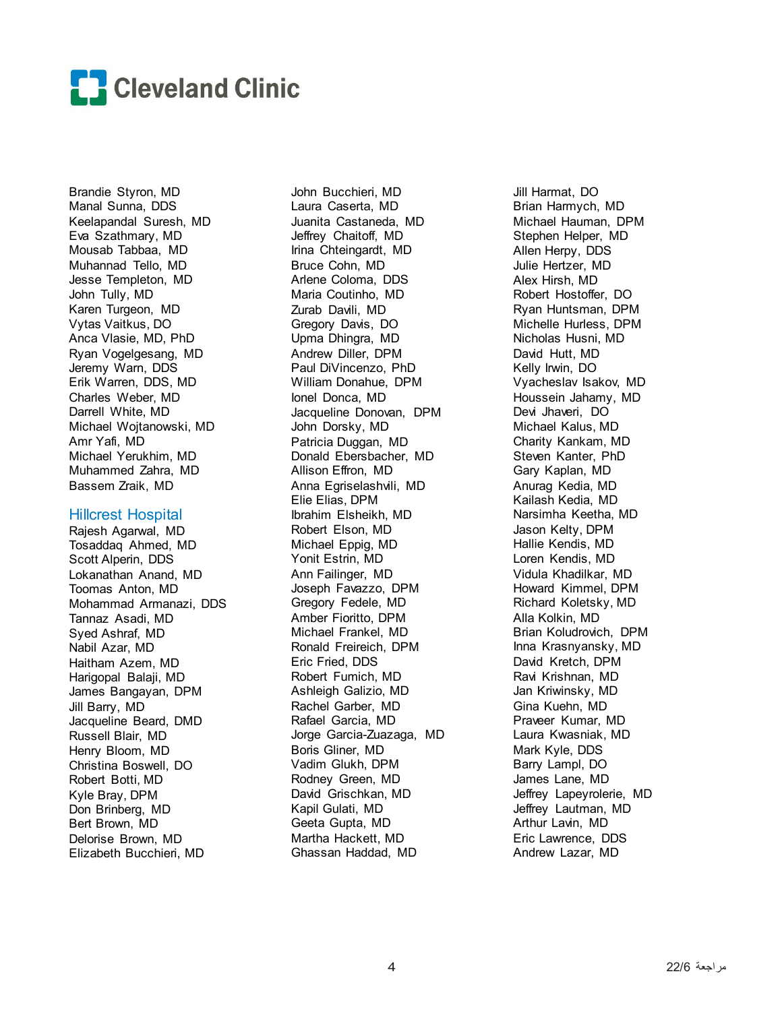

Brandie Styron, MD Manal Sunna, DDS Keelapandal Suresh, MD Eva Szathmary, MD Mousab Tabbaa, MD Muhannad Tello, MD Jesse Templeton, MD John Tully, MD Karen Turgeon, MD Vytas Vaitkus, DO Anca Vlasie, MD, PhD Ryan Vogelgesang, MD Jeremy Warn, DDS Erik Warren, DDS, MD Charles Weber, MD Darrell White, MD Michael Wojtanowski, MD Amr Yafi, MD Michael Yerukhim, MD Muhammed Zahra, MD Bassem Zraik, MD

#### Hillcrest Hospital

Rajesh Agarwal, MD Tosaddaq Ahmed, MD Scott Alperin, DDS Lokanathan Anand, MD Toomas Anton, MD Mohammad Armanazi, DDS Tannaz Asadi, MD Syed Ashraf, MD Nabil Azar, MD Haitham Azem, MD Harigopal Balaji, MD James Bangayan, DPM Jill Barry, MD Jacqueline Beard, DMD Russell Blair, MD Henry Bloom, MD Christina Boswell, DO Robert Botti, MD Kyle Bray, DPM Don Brinberg, MD Bert Brown, MD Delorise Brown, MD Elizabeth Bucchieri, MD

John Bucchieri, MD Laura Caserta, MD Juanita Castaneda, MD Jeffrey Chaitoff, MD Irina Chteingardt, MD Bruce Cohn, MD Arlene Coloma, DDS Maria Coutinho, MD Zurab Davili, MD Gregory Davis, DO Upma Dhingra, MD Andrew Diller, DPM Paul DiVincenzo, PhD William Donahue, DPM Ionel Donca, MD Jacqueline Donovan, DPM John Dorsky, MD Patricia Duggan, MD Donald Ebersbacher, MD Allison Effron, MD Anna Egriselashvili, MD Elie Elias, DPM Ibrahim Elsheikh, MD Robert Elson, MD Michael Eppig, MD Yonit Estrin, MD Ann Failinger, MD Joseph Favazzo, DPM Gregory Fedele, MD Amber Fioritto, DPM Michael Frankel, MD Ronald Freireich, DPM Eric Fried, DDS Robert Fumich, MD Ashleigh Galizio, MD Rachel Garber, MD Rafael Garcia, MD Jorge Garcia-Zuazaga, MD Boris Gliner, MD Vadim Glukh, DPM Rodney Green, MD David Grischkan, MD Kapil Gulati, MD Geeta Gupta, MD Martha Hackett, MD Ghassan Haddad, MD

Jill Harmat, DO Brian Harmych, MD Michael Hauman, DPM Stephen Helper, MD Allen Herpy, DDS Julie Hertzer, MD Alex Hirsh, MD Robert Hostoffer, DO Ryan Huntsman, DPM Michelle Hurless, DPM Nicholas Husni, MD David Hutt, MD Kelly Irwin, DO Vyacheslav Isakov, MD Houssein Jahamy, MD Devi Jhaveri, DO Michael Kalus, MD Charity Kankam, MD Steven Kanter, PhD Gary Kaplan, MD Anurag Kedia, MD Kailash Kedia, MD Narsimha Keetha, MD Jason Kelty, DPM Hallie Kendis, MD Loren Kendis, MD Vidula Khadilkar, MD Howard Kimmel, DPM Richard Koletsky, MD Alla Kolkin, MD Brian Koludrovich, DPM Inna Krasnyansky, MD David Kretch, DPM Ravi Krishnan, MD Jan Kriwinsky, MD Gina Kuehn, MD Praveer Kumar, MD Laura Kwasniak, MD Mark Kyle, DDS Barry Lampl, DO James Lane, MD Jeffrey Lapeyrolerie, MD Jeffrey Lautman, MD Arthur Lavin, MD Eric Lawrence, DDS Andrew Lazar, MD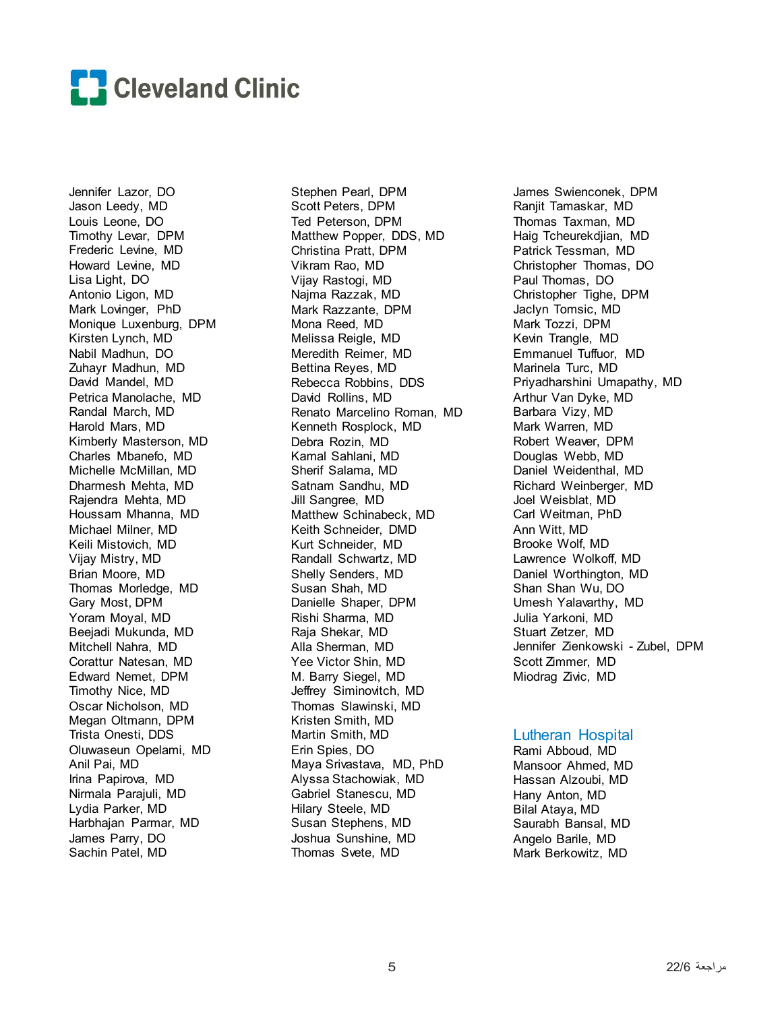

Jennifer Lazor, DO Jason Leedy, MD Louis Leone, DO Timothy Levar, DPM Frederic Levine, MD Howard Levine, MD Lisa Light, DO Antonio Ligon, MD Mark Lovinger, PhD Monique Luxenburg, DPM Kirsten Lynch, MD Nabil Madhun, DO Zuhayr Madhun, MD David Mandel, MD Petrica Manolache, MD Randal March, MD Harold Mars, MD Kimberly Masterson, MD Charles Mbanefo, MD Michelle McMillan, MD Dharmesh Mehta, MD Rajendra Mehta, MD Houssam Mhanna, MD Michael Milner, MD Keili Mistovich, MD Vijay Mistry, MD Brian Moore, MD Thomas Morledge, MD Gary Most, DPM Yoram Moyal, MD Beejadi Mukunda, MD Mitchell Nahra, MD Corattur Natesan, MD Edward Nemet, DPM Timothy Nice, MD Oscar Nicholson, MD Megan Oltmann, DPM Trista Onesti, DDS Oluwaseun Opelami, MD Anil Pai, MD Irina Papirova, MD Nirmala Parajuli, MD Lydia Parker, MD Harbhajan Parmar, MD James Parry, DO Sachin Patel, MD

Stephen Pearl, DPM Scott Peters, DPM Ted Peterson, DPM Matthew Popper, DDS, MD Christina Pratt, DPM Vikram Rao, MD Vijay Rastogi, MD Najma Razzak, MD Mark Razzante, DPM Mona Reed, MD Melissa Reigle, MD Meredith Reimer, MD Bettina Reyes, MD Rebecca Robbins, DDS David Rollins, MD Renato Marcelino Roman, MD Kenneth Rosplock, MD Debra Rozin, MD Kamal Sahlani, MD Sherif Salama, MD Satnam Sandhu, MD Jill Sangree, MD Matthew Schinabeck, MD Keith Schneider, DMD Kurt Schneider, MD Randall Schwartz, MD Shelly Senders, MD Susan Shah, MD Danielle Shaper, DPM Rishi Sharma, MD Raja Shekar, MD Alla Sherman, MD Yee Victor Shin, MD M. Barry Siegel, MD Jeffrey Siminovitch, MD Thomas Slawinski, MD Kristen Smith, MD Martin Smith, MD Erin Spies, DO Maya Srivastava, MD, PhD Alyssa Stachowiak, MD Gabriel Stanescu, MD Hilary Steele, MD Susan Stephens, MD Joshua Sunshine, MD Thomas Svete, MD

James Swienconek, DPM Ranjit Tamaskar, MD Thomas Taxman, MD Haig Tcheurekdjian, MD Patrick Tessman, MD Christopher Thomas, DO Paul Thomas, DO Christopher Tighe, DPM Jaclyn Tomsic, MD Mark Tozzi, DPM Kevin Trangle, MD Emmanuel Tuffuor, MD Marinela Turc, MD Priyadharshini Umapathy, MD Arthur Van Dyke, MD Barbara Vizy, MD Mark Warren, MD Robert Weaver, DPM Douglas Webb, MD Daniel Weidenthal, MD Richard Weinberger, MD Joel Weisblat, MD Carl Weitman, PhD Ann Witt, MD Brooke Wolf, MD Lawrence Wolkoff, MD Daniel Worthington, MD Shan Shan Wu, DO Umesh Yalavarthy, MD Julia Yarkoni, MD Stuart Zetzer, MD Jennifer Zienkowski - Zubel, DPM Scott Zimmer, MD Miodrag Zivic, MD

#### Lutheran Hospital

Rami Abboud, MD Mansoor Ahmed, MD Hassan Alzoubi, MD Hany Anton, MD Bilal Ataya, MD Saurabh Bansal, MD Angelo Barile, MD Mark Berkowitz, MD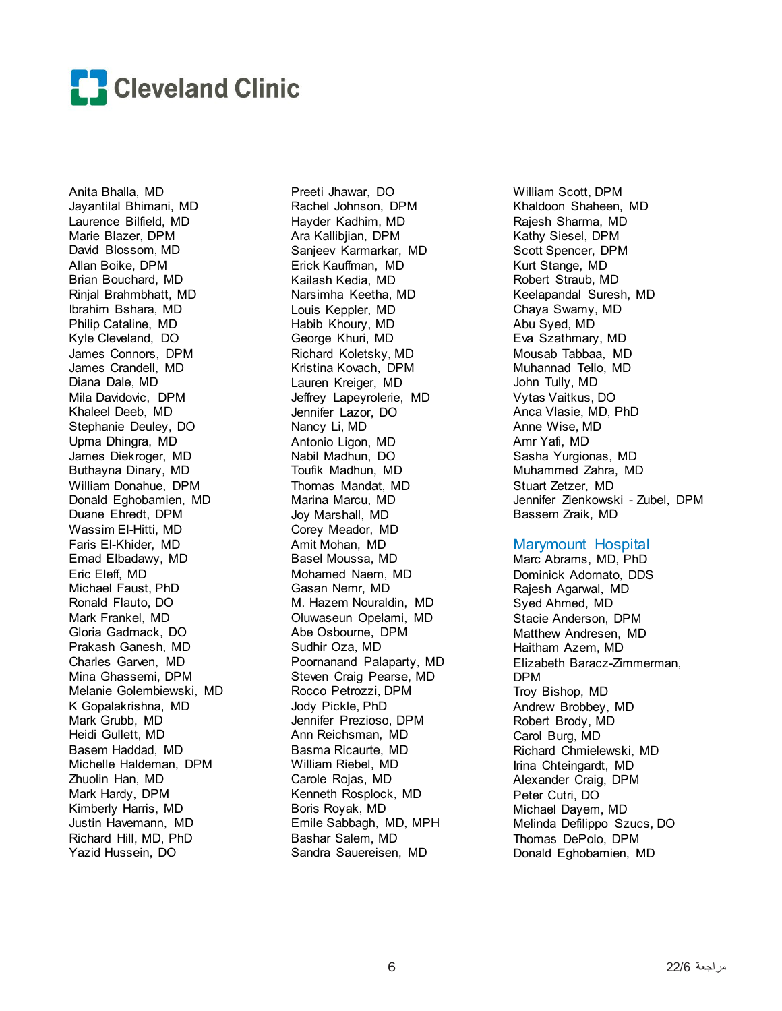

Anita Bhalla, MD Jayantilal Bhimani, MD Laurence Bilfield, MD Marie Blazer, DPM David Blossom, MD Allan Boike, DPM Brian Bouchard, MD Rinjal Brahmbhatt, MD Ibrahim Bshara, MD Philip Cataline, MD Kyle Cleveland, DO James Connors, DPM James Crandell, MD Diana Dale, MD Mila Davidovic, DPM Khaleel Deeb, MD Stephanie Deuley, DO Upma Dhingra, MD James Diekroger, MD Buthayna Dinary, MD William Donahue, DPM Donald Eghobamien, MD Duane Ehredt, DPM Wassim El-Hitti, MD Faris El-Khider, MD Emad Elbadawy, MD Eric Eleff, MD Michael Faust, PhD Ronald Flauto, DO Mark Frankel, MD Gloria Gadmack, DO Prakash Ganesh, MD Charles Garven, MD Mina Ghassemi, DPM Melanie Golembiewski, MD K Gopalakrishna, MD Mark Grubb, MD Heidi Gullett, MD Basem Haddad, MD Michelle Haldeman, DPM Zhuolin Han, MD Mark Hardy, DPM Kimberly Harris, MD Justin Havemann, MD Richard Hill, MD, PhD Yazid Hussein, DO

Preeti Jhawar, DO Rachel Johnson, DPM Hayder Kadhim, MD Ara Kallibjian, DPM Sanjeev Karmarkar, MD Erick Kauffman, MD Kailash Kedia, MD Narsimha Keetha, MD Louis Keppler, MD Habib Khoury, MD George Khuri, MD Richard Koletsky, MD Kristina Kovach, DPM Lauren Kreiger, MD Jeffrey Lapeyrolerie, MD Jennifer Lazor, DO Nancy Li, MD Antonio Ligon, MD Nabil Madhun, DO Toufik Madhun, MD Thomas Mandat, MD Marina Marcu, MD Joy Marshall, MD Corey Meador, MD Amit Mohan, MD Basel Moussa, MD Mohamed Naem, MD Gasan Nemr, MD M. Hazem Nouraldin, MD Oluwaseun Opelami, MD Abe Osbourne, DPM Sudhir Oza, MD Poornanand Palaparty, MD Steven Craig Pearse, MD Rocco Petrozzi, DPM Jody Pickle, PhD Jennifer Prezioso, DPM Ann Reichsman, MD Basma Ricaurte, MD William Riebel, MD Carole Rojas, MD Kenneth Rosplock, MD Boris Royak, MD Emile Sabbagh, MD, MPH Bashar Salem, MD Sandra Sauereisen, MD

William Scott, DPM Khaldoon Shaheen, MD Rajesh Sharma, MD Kathy Siesel, DPM Scott Spencer, DPM Kurt Stange, MD Robert Straub, MD Keelapandal Suresh, MD Chaya Swamy, MD Abu Syed, MD Eva Szathmary, MD Mousab Tabbaa, MD Muhannad Tello, MD John Tully, MD Vytas Vaitkus, DO Anca Vlasie, MD, PhD Anne Wise, MD Amr Yafi, MD Sasha Yurgionas, MD Muhammed Zahra, MD Stuart Zetzer, MD Jennifer Zienkowski - Zubel, DPM Bassem Zraik, MD

#### Marymount Hospital

Marc Abrams, MD, PhD Dominick Adornato, DDS Rajesh Agarwal, MD Syed Ahmed, MD Stacie Anderson, DPM Matthew Andresen, MD Haitham Azem, MD Elizabeth Baracz-Zimmerman, DPM Troy Bishop, MD Andrew Brobbey, MD Robert Brody, MD Carol Burg, MD Richard Chmielewski, MD Irina Chteingardt, MD Alexander Craig, DPM Peter Cutri, DO Michael Dayem, MD Melinda Defilippo Szucs, DO Thomas DePolo, DPM Donald Eghobamien, MD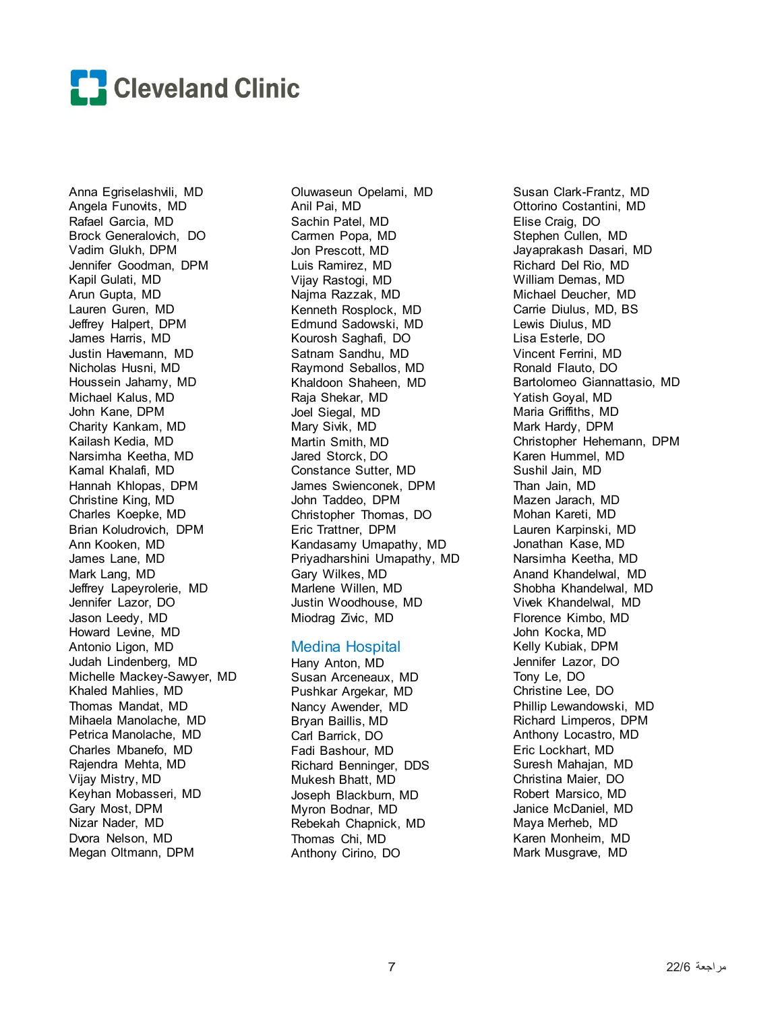

Anna Egriselashvili, MD Angela Funovits, MD Rafael Garcia, MD Brock Generalovich, DO Vadim Glukh, DPM Jennifer Goodman, DPM Kapil Gulati, MD Arun Gupta, MD Lauren Guren, MD Jeffrey Halpert, DPM James Harris, MD Justin Havemann, MD Nicholas Husni, MD Houssein Jahamy, MD Michael Kalus, MD John Kane, DPM Charity Kankam, MD Kailash Kedia, MD Narsimha Keetha, MD Kamal Khalafi, MD Hannah Khlopas, DPM Christine King, MD Charles Koepke, MD Brian Koludrovich, DPM Ann Kooken, MD James Lane, MD Mark Lang, MD Jeffrey Lapeyrolerie, MD Jennifer Lazor, DO Jason Leedy, MD Howard Levine, MD Antonio Ligon, MD Judah Lindenberg, MD Michelle Mackey-Sawyer, MD Khaled Mahlies, MD Thomas Mandat, MD Mihaela Manolache, MD Petrica Manolache, MD Charles Mbanefo, MD Rajendra Mehta, MD Vijay Mistry, MD Keyhan Mobasseri, MD Gary Most, DPM Nizar Nader, MD Dvora Nelson, MD Megan Oltmann, DPM

Oluwaseun Opelami, MD Anil Pai, MD Sachin Patel, MD Carmen Popa, MD Jon Prescott, MD Luis Ramirez, MD Vijay Rastogi, MD Najma Razzak, MD Kenneth Rosplock, MD Edmund Sadowski, MD Kourosh Saghafi, DO Satnam Sandhu, MD Raymond Seballos, MD Khaldoon Shaheen, MD Raja Shekar, MD Joel Siegal, MD Mary Sivik, MD Martin Smith, MD Jared Storck, DO Constance Sutter, MD James Swienconek, DPM John Taddeo, DPM Christopher Thomas, DO Eric Trattner, DPM Kandasamy Umapathy, MD Priyadharshini Umapathy, MD Gary Wilkes, MD Marlene Willen, MD Justin Woodhouse, MD Miodrag Zivic, MD

#### Medina Hospital

Hany Anton, MD Susan Arceneaux, MD Pushkar Argekar, MD Nancy Awender, MD Bryan Baillis, MD Carl Barrick, DO Fadi Bashour, MD Richard Benninger, DDS Mukesh Bhatt, MD Joseph Blackburn, MD Myron Bodnar, MD Rebekah Chapnick, MD Thomas Chi, MD Anthony Cirino, DO

Susan Clark-Frantz, MD Ottorino Costantini, MD Elise Craig, DO Stephen Cullen, MD Jayaprakash Dasari, MD Richard Del Rio, MD William Demas, MD Michael Deucher, MD Carrie Diulus, MD, BS Lewis Diulus, MD Lisa Esterle, DO Vincent Ferrini, MD Ronald Flauto, DO Bartolomeo Giannattasio, MD Yatish Goyal, MD Maria Griffiths, MD Mark Hardy, DPM Christopher Hehemann, DPM Karen Hummel, MD Sushil Jain, MD Than Jain, MD Mazen Jarach, MD Mohan Kareti, MD Lauren Karpinski, MD Jonathan Kase, MD Narsimha Keetha, MD Anand Khandelwal, MD Shobha Khandelwal, MD Vivek Khandelwal, MD Florence Kimbo, MD John Kocka, MD Kelly Kubiak, DPM Jennifer Lazor, DO Tony Le, DO Christine Lee, DO Phillip Lewandowski, MD Richard Limperos, DPM Anthony Locastro, MD Eric Lockhart, MD Suresh Mahajan, MD Christina Maier, DO Robert Marsico, MD Janice McDaniel, MD Maya Merheb, MD Karen Monheim, MD Mark Musgrave, MD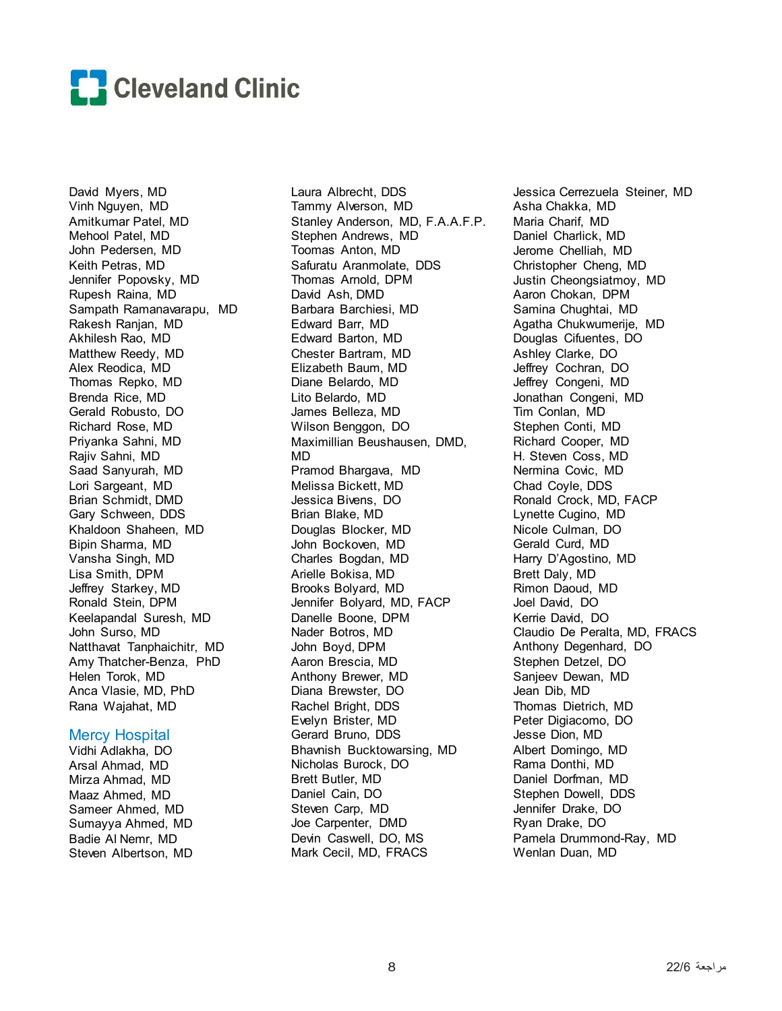

David Myers, MD Vinh Nguyen, MD Amitkumar Patel, MD Mehool Patel, MD John Pedersen, MD Keith Petras, MD Jennifer Popovsky, MD Rupesh Raina, MD Sampath Ramanavarapu, MD Rakesh Ranjan, MD Akhilesh Rao, MD Matthew Reedy, MD Alex Reodica, MD Thomas Repko, MD Brenda Rice, MD Gerald Robusto, DO Richard Rose, MD Priyanka Sahni, MD Rajiv Sahni, MD Saad Sanyurah, MD Lori Sargeant, MD Brian Schmidt, DMD Gary Schween, DDS Khaldoon Shaheen, MD Bipin Sharma, MD Vansha Singh, MD Lisa Smith, DPM Jeffrey Starkey, MD Ronald Stein, DPM Keelapandal Suresh, MD John Surso, MD Natthavat Tanphaichitr, MD Amy Thatcher-Benza, PhD Helen Torok, MD Anca Vlasie, MD, PhD Rana Wajahat, MD

#### Mercy Hospital

Vidhi Adlakha, DO Arsal Ahmad, MD Mirza Ahmad, MD Maaz Ahmed, MD Sameer Ahmed, MD Sumayya Ahmed, MD Badie Al Nemr, MD Steven Albertson, MD

Laura Albrecht, DDS Tammy Alverson, MD Stanley Anderson, MD, F.A.A.F.P. Stephen Andrews, MD Toomas Anton, MD Safuratu Aranmolate, DDS Thomas Arnold, DPM David Ash, DMD Barbara Barchiesi, MD Edward Barr, MD Edward Barton, MD Chester Bartram, MD Elizabeth Baum, MD Diane Belardo, MD Lito Belardo, MD James Belleza, MD Wilson Benggon, DO Maximillian Beushausen, DMD, MD Pramod Bhargava, MD Melissa Bickett, MD Jessica Bivens, DO Brian Blake, MD Douglas Blocker, MD John Bockoven, MD Charles Bogdan, MD Arielle Bokisa, MD Brooks Bolyard, MD Jennifer Bolyard, MD, FACP Danelle Boone, DPM Nader Botros, MD John Boyd, DPM Aaron Brescia, MD Anthony Brewer, MD Diana Brewster, DO Rachel Bright, DDS Evelyn Brister, MD Gerard Bruno, DDS Bhavnish Bucktowarsing, MD Nicholas Burock, DO Brett Butler, MD Daniel Cain, DO Steven Carp, MD Joe Carpenter, DMD Devin Caswell, DO, MS Mark Cecil, MD, FRACS

Jessica Cerrezuela Steiner, MD Asha Chakka, MD Maria Charif, MD Daniel Charlick, MD Jerome Chelliah, MD Christopher Cheng, MD Justin Cheongsiatmoy, MD Aaron Chokan, DPM Samina Chughtai, MD Agatha Chukwumerije, MD Douglas Cifuentes, DO Ashley Clarke, DO Jeffrey Cochran, DO Jeffrey Congeni, MD Jonathan Congeni, MD Tim Conlan, MD Stephen Conti, MD Richard Cooper, MD H. Steven Coss, MD Nermina Covic, MD Chad Coyle, DDS Ronald Crock, MD, FACP Lynette Cugino, MD Nicole Culman, DO Gerald Curd, MD Harry D'Agostino, MD Brett Daly, MD Rimon Daoud, MD Joel David, DO Kerrie David, DO Claudio De Peralta, MD, FRACS Anthony Degenhard, DO Stephen Detzel, DO Sanjeev Dewan, MD Jean Dib, MD Thomas Dietrich, MD Peter Digiacomo, DO Jesse Dion, MD Albert Domingo, MD Rama Donthi, MD Daniel Dorfman, MD Stephen Dowell, DDS Jennifer Drake, DO Ryan Drake, DO Pamela Drummond-Ray, MD Wenlan Duan, MD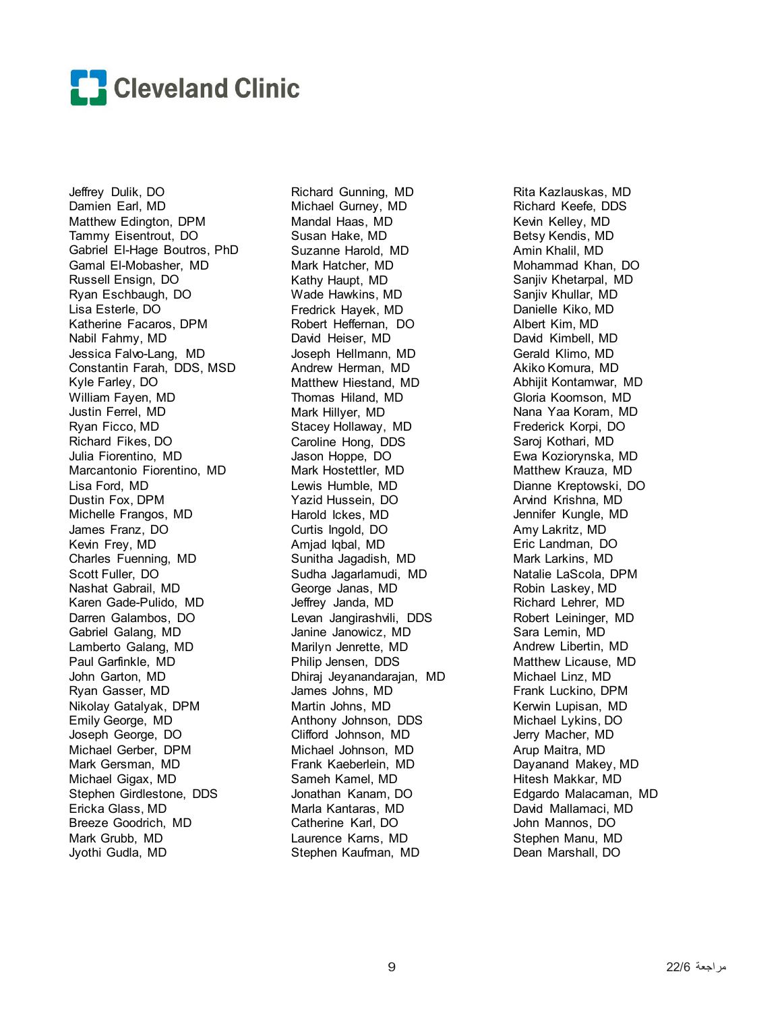

Jeffrey Dulik, DO Damien Earl, MD Matthew Edington, DPM Tammy Eisentrout, DO Gabriel El-Hage Boutros, PhD Gamal El-Mobasher, MD Russell Ensign, DO Ryan Eschbaugh, DO Lisa Esterle, DO Katherine Facaros, DPM Nabil Fahmy, MD Jessica Falvo-Lang, MD Constantin Farah, DDS, MSD Kyle Farley, DO William Fayen, MD Justin Ferrel, MD Ryan Ficco, MD Richard Fikes, DO Julia Fiorentino, MD Marcantonio Fiorentino, MD Lisa Ford, MD Dustin Fox, DPM Michelle Frangos, MD James Franz, DO Kevin Frey, MD Charles Fuenning, MD Scott Fuller, DO Nashat Gabrail, MD Karen Gade-Pulido, MD Darren Galambos, DO Gabriel Galang, MD Lamberto Galang, MD Paul Garfinkle, MD John Garton, MD Ryan Gasser, MD Nikolay Gatalyak, DPM Emily George, MD Joseph George, DO Michael Gerber, DPM Mark Gersman, MD Michael Gigax, MD Stephen Girdlestone, DDS Ericka Glass, MD Breeze Goodrich, MD Mark Grubb, MD Jyothi Gudla, MD

Richard Gunning, MD Michael Gurney, MD Mandal Haas, MD Susan Hake, MD Suzanne Harold, MD Mark Hatcher, MD Kathy Haupt, MD Wade Hawkins, MD Fredrick Hayek, MD Robert Heffernan, DO David Heiser, MD Joseph Hellmann, MD Andrew Herman, MD Matthew Hiestand, MD Thomas Hiland, MD Mark Hillyer, MD Stacey Hollaway, MD Caroline Hong, DDS Jason Hoppe, DO Mark Hostettler, MD Lewis Humble, MD Yazid Hussein, DO Harold Ickes, MD Curtis Ingold, DO Amjad Iqbal, MD Sunitha Jagadish, MD Sudha Jagarlamudi, MD George Janas, MD Jeffrey Janda, MD Levan Jangirashvili, DDS Janine Janowicz, MD Marilyn Jenrette, MD Philip Jensen, DDS Dhiraj Jeyanandarajan, MD James Johns, MD Martin Johns, MD Anthony Johnson, DDS Clifford Johnson, MD Michael Johnson, MD Frank Kaeberlein, MD Sameh Kamel, MD Jonathan Kanam, DO Marla Kantaras, MD Catherine Karl, DO Laurence Karns, MD Stephen Kaufman, MD

Rita Kazlauskas, MD Richard Keefe, DDS Kevin Kelley, MD Betsy Kendis, MD Amin Khalil, MD Mohammad Khan, DO Sanjiv Khetarpal, MD Sanjiv Khullar, MD Danielle Kiko, MD Albert Kim, MD David Kimbell, MD Gerald Klimo, MD Akiko Komura, MD Abhijit Kontamwar, MD Gloria Koomson, MD Nana Yaa Koram, MD Frederick Korpi, DO Saroj Kothari, MD Ewa Koziorynska, MD Matthew Krauza, MD Dianne Kreptowski, DO Arvind Krishna, MD Jennifer Kungle, MD Amy Lakritz, MD Eric Landman, DO Mark Larkins, MD Natalie LaScola, DPM Robin Laskey, MD Richard Lehrer, MD Robert Leininger, MD Sara Lemin, MD Andrew Libertin, MD Matthew Licause, MD Michael Linz, MD Frank Luckino, DPM Kerwin Lupisan, MD Michael Lykins, DO Jerry Macher, MD Arup Maitra, MD Dayanand Makey, MD Hitesh Makkar, MD Edgardo Malacaman, MD David Mallamaci, MD John Mannos, DO Stephen Manu, MD Dean Marshall, DO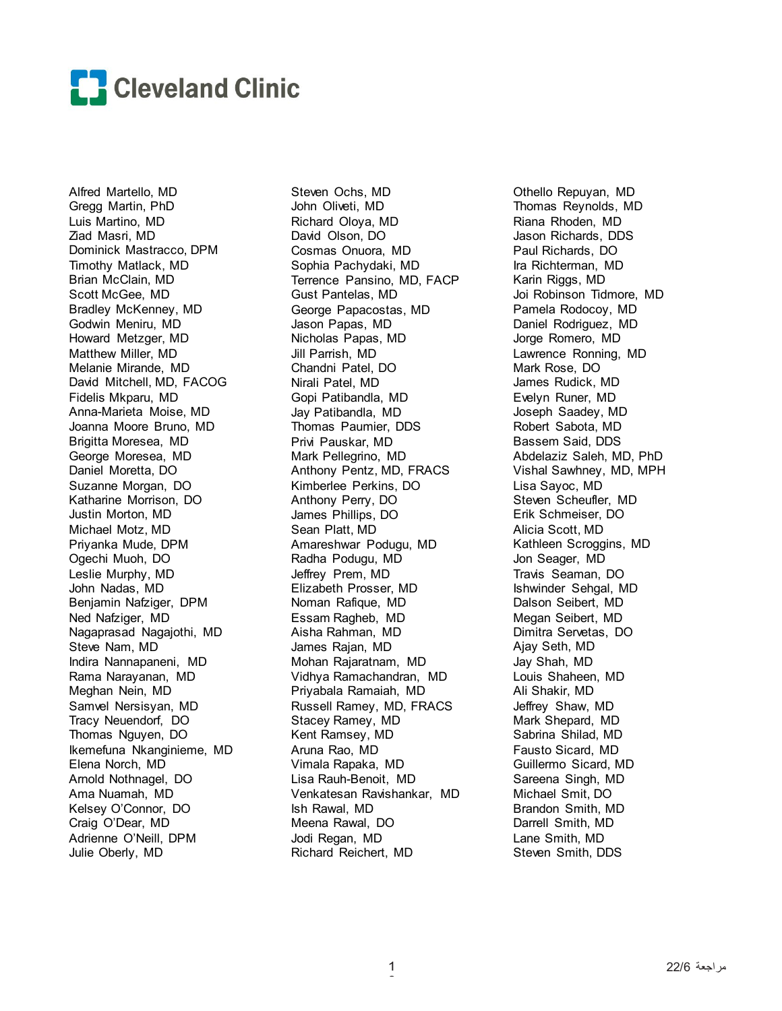

Alfred Martello, MD Gregg Martin, PhD Luis Martino, MD Ziad Masri, MD Dominick Mastracco, DPM Timothy Matlack, MD Brian McClain, MD Scott McGee, MD Bradley McKenney, MD Godwin Meniru, MD Howard Metzger, MD Matthew Miller, MD Melanie Mirande, MD David Mitchell, MD, FACOG Fidelis Mkparu, MD Anna-Marieta Moise, MD Joanna Moore Bruno, MD Brigitta Moresea, MD George Moresea, MD Daniel Moretta, DO Suzanne Morgan, DO Katharine Morrison, DO Justin Morton, MD Michael Motz, MD Priyanka Mude, DPM Ogechi Muoh, DO Leslie Murphy, MD John Nadas, MD Benjamin Nafziger, DPM Ned Nafziger, MD Nagaprasad Nagajothi, MD Steve Nam, MD Indira Nannapaneni, MD Rama Narayanan, MD Meghan Nein, MD Samvel Nersisyan, MD Tracy Neuendorf, DO Thomas Nguyen, DO Ikemefuna Nkanginieme, MD Elena Norch, MD Arnold Nothnagel, DO Ama Nuamah, MD Kelsey O'Connor, DO Craig O'Dear, MD Adrienne O'Neill, DPM Julie Oberly, MD

Steven Ochs, MD John Oliveti, MD Richard Oloya, MD David Olson, DO Cosmas Onuora, MD Sophia Pachydaki, MD Terrence Pansino, MD, FACP Gust Pantelas, MD George Papacostas, MD Jason Papas, MD Nicholas Papas, MD Jill Parrish, MD Chandni Patel, DO Nirali Patel, MD Gopi Patibandla, MD Jay Patibandla, MD Thomas Paumier, DDS Privi Pauskar, MD Mark Pellegrino, MD Anthony Pentz, MD, FRACS Kimberlee Perkins, DO Anthony Perry, DO James Phillips, DO Sean Platt, MD Amareshwar Podugu, MD Radha Podugu, MD Jeffrey Prem, MD Elizabeth Prosser, MD Noman Rafique, MD Essam Ragheb, MD Aisha Rahman, MD James Rajan, MD Mohan Rajaratnam, MD Vidhya Ramachandran, MD Priyabala Ramaiah, MD Russell Ramey, MD, FRACS Stacey Ramey, MD Kent Ramsey, MD Aruna Rao, MD Vimala Rapaka, MD Lisa Rauh-Benoit, MD Venkatesan Ravishankar, MD Ish Rawal, MD Meena Rawal, DO Jodi Regan, MD Richard Reichert, MD

Othello Repuyan, MD Thomas Reynolds, MD Riana Rhoden, MD Jason Richards, DDS Paul Richards, DO Ira Richterman, MD Karin Riggs, MD Joi Robinson Tidmore, MD Pamela Rodocoy, MD Daniel Rodriguez, MD Jorge Romero, MD Lawrence Ronning, MD Mark Rose, DO James Rudick, MD Evelyn Runer, MD Joseph Saadey, MD Robert Sabota, MD Bassem Said, DDS Abdelaziz Saleh, MD, PhD Vishal Sawhney, MD, MPH Lisa Sayoc, MD Steven Scheufler, MD Erik Schmeiser, DO Alicia Scott, MD Kathleen Scroggins, MD Jon Seager, MD Travis Seaman, DO Ishwinder Sehgal, MD Dalson Seibert, MD Megan Seibert, MD Dimitra Servetas, DO Ajay Seth, MD Jay Shah, MD Louis Shaheen, MD Ali Shakir, MD Jeffrey Shaw, MD Mark Shepard, MD Sabrina Shilad, MD Fausto Sicard, MD Guillermo Sicard, MD Sareena Singh, MD Michael Smit, DO Brandon Smith, MD Darrell Smith, MD Lane Smith, MD Steven Smith, DDS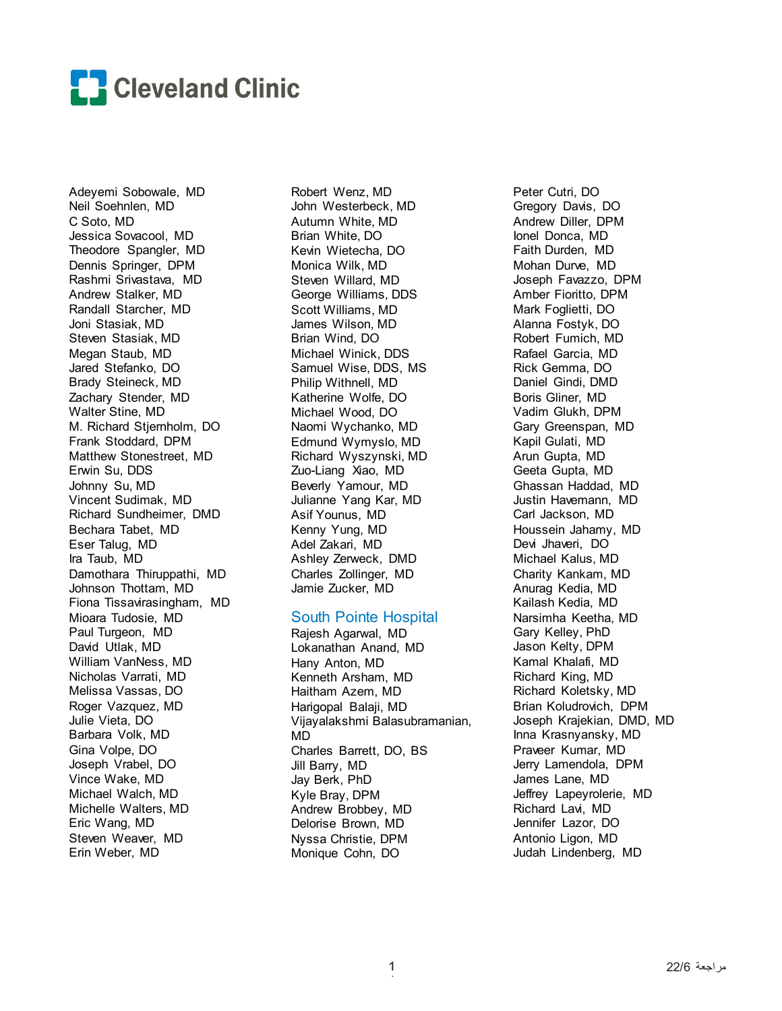

Adeyemi Sobowale, MD Neil Soehnlen, MD C Soto, MD Jessica Sovacool, MD Theodore Spangler, MD Dennis Springer, DPM Rashmi Srivastava, MD Andrew Stalker, MD Randall Starcher, MD Joni Stasiak, MD Steven Stasiak, MD Megan Staub, MD Jared Stefanko, DO Brady Steineck, MD Zachary Stender, MD Walter Stine, MD M. Richard Stjernholm, DO Frank Stoddard, DPM Matthew Stonestreet, MD Erwin Su, DDS Johnny Su, MD Vincent Sudimak, MD Richard Sundheimer, DMD Bechara Tabet, MD Eser Talug, MD Ira Taub, MD Damothara Thiruppathi, MD Johnson Thottam, MD Fiona Tissavirasingham, MD Mioara Tudosie, MD Paul Turgeon, MD David Utlak, MD William VanNess, MD Nicholas Varrati, MD Melissa Vassas, DO Roger Vazquez, MD Julie Vieta, DO Barbara Volk, MD Gina Volpe, DO Joseph Vrabel, DO Vince Wake, MD Michael Walch, MD Michelle Walters, MD Eric Wang, MD Steven Weaver, MD Erin Weber, MD

Robert Wenz, MD John Westerbeck, MD Autumn White, MD Brian White, DO Kevin Wietecha, DO Monica Wilk, MD Steven Willard, MD George Williams, DDS Scott Williams, MD James Wilson, MD Brian Wind, DO Michael Winick, DDS Samuel Wise, DDS, MS Philip Withnell, MD Katherine Wolfe, DO Michael Wood, DO Naomi Wychanko, MD Edmund Wymyslo, MD Richard Wyszynski, MD Zuo-Liang Xiao, MD Beverly Yamour, MD Julianne Yang Kar, MD Asif Younus, MD Kenny Yung, MD Adel Zakari, MD Ashley Zerweck, DMD Charles Zollinger, MD Jamie Zucker, MD

#### South Pointe Hospital

Rajesh Agarwal, MD Lokanathan Anand, MD Hany Anton, MD Kenneth Arsham, MD Haitham Azem, MD Harigopal Balaji, MD Vijayalakshmi Balasubramanian, MD Charles Barrett, DO, BS Jill Barry, MD Jay Berk, PhD Kyle Bray, DPM Andrew Brobbey, MD Delorise Brown, MD Nyssa Christie, DPM Monique Cohn, DO

Peter Cutri, DO Gregory Davis, DO Andrew Diller, DPM Ionel Donca, MD Faith Durden, MD Mohan Durve, MD Joseph Favazzo, DPM Amber Fioritto, DPM Mark Foglietti, DO Alanna Fostyk, DO Robert Fumich, MD Rafael Garcia, MD Rick Gemma, DO Daniel Gindi, DMD Boris Gliner, MD Vadim Glukh, DPM Gary Greenspan, MD Kapil Gulati, MD Arun Gupta, MD Geeta Gupta, MD Ghassan Haddad, MD Justin Havemann, MD Carl Jackson, MD Houssein Jahamy, MD Devi Jhaveri, DO Michael Kalus, MD Charity Kankam, MD Anurag Kedia, MD Kailash Kedia, MD Narsimha Keetha, MD Gary Kelley, PhD Jason Kelty, DPM Kamal Khalafi, MD Richard King, MD Richard Koletsky, MD Brian Koludrovich, DPM Joseph Krajekian, DMD, MD Inna Krasnyansky, MD Praveer Kumar, MD Jerry Lamendola, DPM James Lane, MD Jeffrey Lapeyrolerie, MD Richard Lavi, MD Jennifer Lazor, DO Antonio Ligon, MD Judah Lindenberg, MD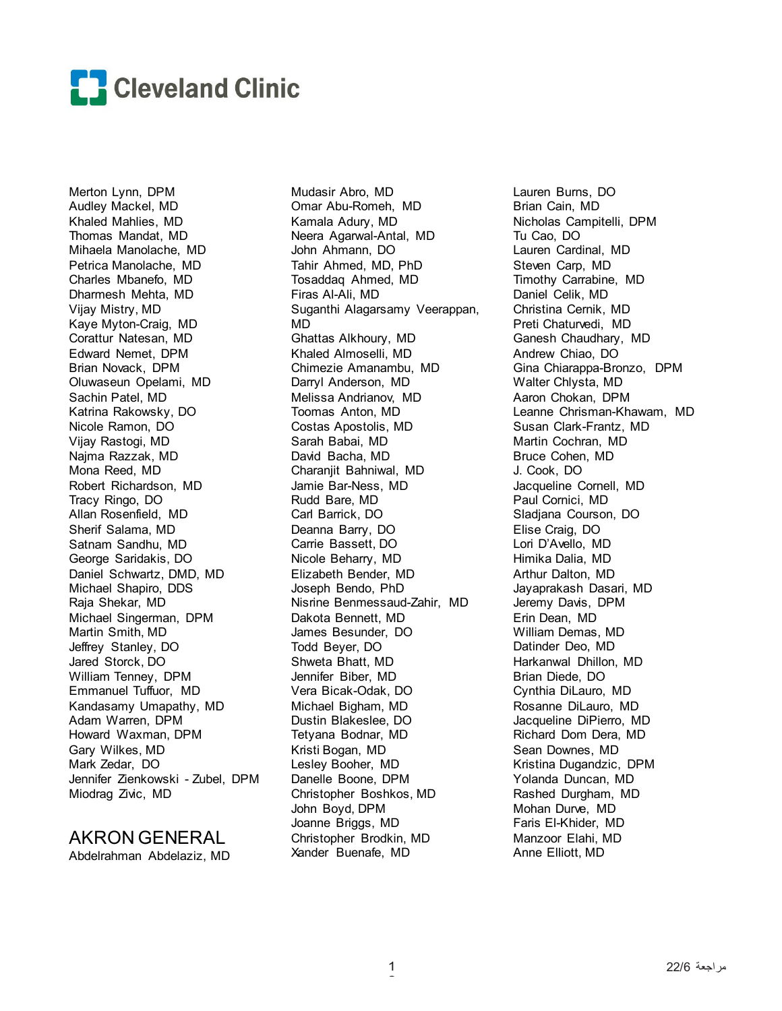

Merton Lynn, DPM Audley Mackel, MD Khaled Mahlies, MD Thomas Mandat, MD Mihaela Manolache, MD Petrica Manolache, MD Charles Mbanefo, MD Dharmesh Mehta, MD Vijay Mistry, MD Kaye Myton-Craig, MD Corattur Natesan, MD Edward Nemet, DPM Brian Novack, DPM Oluwaseun Opelami, MD Sachin Patel, MD Katrina Rakowsky, DO Nicole Ramon, DO Vijay Rastogi, MD Najma Razzak, MD Mona Reed, MD Robert Richardson, MD Tracy Ringo, DO Allan Rosenfield, MD Sherif Salama, MD Satnam Sandhu, MD George Saridakis, DO Daniel Schwartz, DMD, MD Michael Shapiro, DDS Raja Shekar, MD Michael Singerman, DPM Martin Smith, MD Jeffrey Stanley, DO Jared Storck, DO William Tenney, DPM Emmanuel Tuffuor, MD Kandasamy Umapathy, MD Adam Warren, DPM Howard Waxman, DPM Gary Wilkes, MD Mark Zedar, DO Jennifer Zienkowski - Zubel, DPM Miodrag Zivic, MD

## AKRON GENERAL

Abdelrahman Abdelaziz, MD

Mudasir Abro, MD Omar Abu-Romeh, MD Kamala Adury, MD Neera Agarwal-Antal, MD John Ahmann, DO Tahir Ahmed, MD, PhD Tosaddaq Ahmed, MD Firas Al-Ali, MD Suganthi Alagarsamy Veerappan, MD Ghattas Alkhoury, MD Khaled Almoselli, MD Chimezie Amanambu, MD Darryl Anderson, MD Melissa Andrianov, MD Toomas Anton, MD Costas Apostolis, MD Sarah Babai, MD David Bacha, MD Charanjit Bahniwal, MD Jamie Bar-Ness, MD Rudd Bare, MD Carl Barrick, DO Deanna Barry, DO Carrie Bassett, DO Nicole Beharry, MD Elizabeth Bender, MD Joseph Bendo, PhD Nisrine Benmessaud-Zahir, MD Dakota Bennett, MD James Besunder, DO Todd Beyer, DO Shweta Bhatt, MD Jennifer Biber, MD Vera Bicak-Odak, DO Michael Bigham, MD Dustin Blakeslee, DO Tetyana Bodnar, MD Kristi Bogan, MD Lesley Booher, MD Danelle Boone, DPM Christopher Boshkos, MD John Boyd, DPM Joanne Briggs, MD Christopher Brodkin, MD Xander Buenafe, MD

Lauren Burns, DO Brian Cain, MD Nicholas Campitelli, DPM Tu Cao, DO Lauren Cardinal, MD Steven Carp, MD Timothy Carrabine, MD Daniel Celik, MD Christina Cernik, MD Preti Chaturvedi, MD Ganesh Chaudhary, MD Andrew Chiao, DO Gina Chiarappa-Bronzo, DPM Walter Chlysta, MD Aaron Chokan, DPM Leanne Chrisman-Khawam, MD Susan Clark-Frantz, MD Martin Cochran, MD Bruce Cohen, MD J. Cook, DO Jacqueline Cornell, MD Paul Cornici, MD Sladjana Courson, DO Elise Craig, DO Lori D'Avello, MD Himika Dalia, MD Arthur Dalton, MD Jayaprakash Dasari, MD Jeremy Davis, DPM Erin Dean, MD William Demas, MD Datinder Deo, MD Harkanwal Dhillon, MD Brian Diede, DO Cynthia DiLauro, MD Rosanne DiLauro, MD Jacqueline DiPierro, MD Richard Dom Dera, MD Sean Downes, MD Kristina Dugandzic, DPM Yolanda Duncan, MD Rashed Durgham, MD Mohan Durve, MD Faris El-Khider, MD Manzoor Elahi, MD Anne Elliott, MD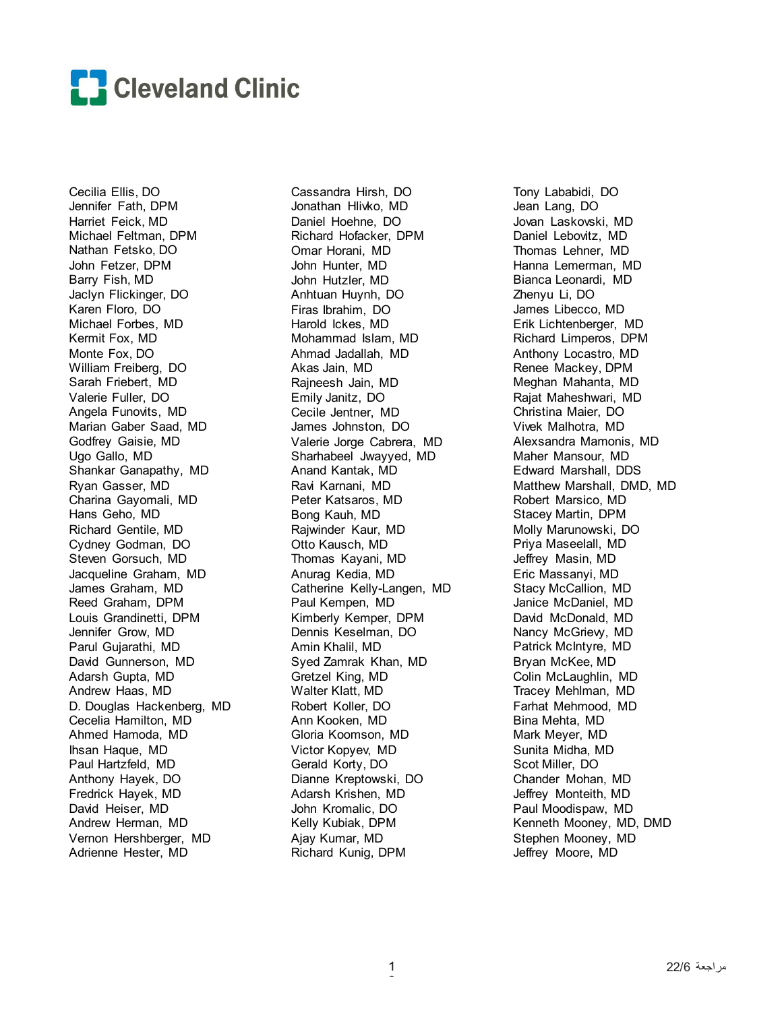

Cecilia Ellis, DO Jennifer Fath, DPM Harriet Feick, MD Michael Feltman, DPM Nathan Fetsko, DO John Fetzer, DPM Barry Fish, MD Jaclyn Flickinger, DO Karen Floro, DO Michael Forbes, MD Kermit Fox, MD Monte Fox, DO William Freiberg, DO Sarah Friebert, MD Valerie Fuller, DO Angela Funovits, MD Marian Gaber Saad, MD Godfrey Gaisie, MD Ugo Gallo, MD Shankar Ganapathy, MD Ryan Gasser, MD Charina Gayomali, MD Hans Geho, MD Richard Gentile, MD Cydney Godman, DO Steven Gorsuch, MD Jacqueline Graham, MD James Graham, MD Reed Graham, DPM Louis Grandinetti, DPM Jennifer Grow, MD Parul Gujarathi, MD David Gunnerson, MD Adarsh Gupta, MD Andrew Haas, MD D. Douglas Hackenberg, MD Cecelia Hamilton, MD Ahmed Hamoda, MD Ihsan Haque, MD Paul Hartzfeld, MD Anthony Hayek, DO Fredrick Hayek, MD David Heiser, MD Andrew Herman, MD Vernon Hershberger, MD Adrienne Hester, MD

Cassandra Hirsh, DO Jonathan Hlivko, MD Daniel Hoehne, DO Richard Hofacker, DPM Omar Horani, MD John Hunter, MD John Hutzler, MD Anhtuan Huynh, DO Firas Ibrahim, DO Harold Ickes, MD Mohammad Islam, MD Ahmad Jadallah, MD Akas Jain, MD Rajneesh Jain, MD Emily Janitz, DO Cecile Jentner, MD James Johnston, DO Valerie Jorge Cabrera, MD Sharhabeel Jwayyed, MD Anand Kantak, MD Ravi Karnani, MD Peter Katsaros, MD Bong Kauh, MD Rajwinder Kaur, MD Otto Kausch, MD Thomas Kayani, MD Anurag Kedia, MD Catherine Kelly-Langen, MD Paul Kempen, MD Kimberly Kemper, DPM Dennis Keselman, DO Amin Khalil, MD Syed Zamrak Khan, MD Gretzel King, MD Walter Klatt, MD Robert Koller, DO Ann Kooken, MD Gloria Koomson, MD Victor Kopyev, MD Gerald Korty, DO Dianne Kreptowski, DO Adarsh Krishen, MD John Kromalic, DO Kelly Kubiak, DPM Ajay Kumar, MD Richard Kunig, DPM

Tony Lababidi, DO Jean Lang, DO Jovan Laskovski, MD Daniel Lebovitz, MD Thomas Lehner, MD Hanna Lemerman, MD Bianca Leonardi, MD Zhenyu Li, DO James Libecco, MD Erik Lichtenberger, MD Richard Limperos, DPM Anthony Locastro, MD Renee Mackey, DPM Meghan Mahanta, MD Rajat Maheshwari, MD Christina Maier, DO Vivek Malhotra, MD Alexsandra Mamonis, MD Maher Mansour, MD Edward Marshall, DDS Matthew Marshall, DMD, MD Robert Marsico, MD Stacey Martin, DPM Molly Marunowski, DO Priya Maseelall, MD Jeffrey Masin, MD Eric Massanyi, MD Stacy McCallion, MD Janice McDaniel, MD David McDonald, MD Nancy McGriew, MD Patrick McIntyre, MD Bryan McKee, MD Colin McLaughlin, MD Tracey Mehlman, MD Farhat Mehmood, MD Bina Mehta, MD Mark Meyer, MD Sunita Midha, MD Scot Miller, DO Chander Mohan, MD Jeffrey Monteith, MD Paul Moodispaw, MD Kenneth Mooney, MD, DMD Stephen Mooney, MD Jeffrey Moore, MD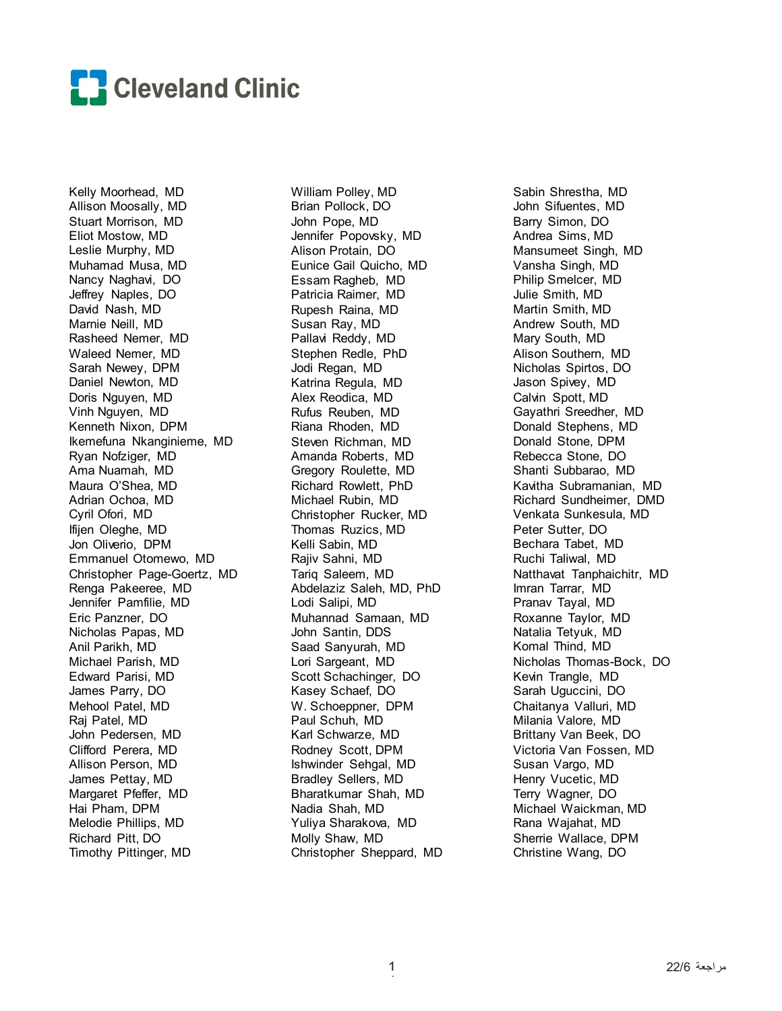

Kelly Moorhead, MD Allison Moosally, MD Stuart Morrison, MD Eliot Mostow, MD Leslie Murphy, MD Muhamad Musa, MD Nancy Naghavi, DO Jeffrey Naples, DO David Nash, MD Marnie Neill, MD Rasheed Nemer, MD Waleed Nemer, MD Sarah Newey, DPM Daniel Newton, MD Doris Nguyen, MD Vinh Nguyen, MD Kenneth Nixon, DPM Ikemefuna Nkanginieme, MD Ryan Nofziger, MD Ama Nuamah, MD Maura O'Shea, MD Adrian Ochoa, MD Cyril Ofori, MD Ifijen Oleghe, MD Jon Oliverio, DPM Emmanuel Otomewo, MD Christopher Page-Goertz, MD Renga Pakeeree, MD Jennifer Pamfilie, MD Eric Panzner, DO Nicholas Papas, MD Anil Parikh, MD Michael Parish, MD Edward Parisi, MD James Parry, DO Mehool Patel, MD Raj Patel, MD John Pedersen, MD Clifford Perera, MD Allison Person, MD James Pettay, MD Margaret Pfeffer, MD Hai Pham, DPM Melodie Phillips, MD Richard Pitt, DO Timothy Pittinger, MD

William Polley, MD Brian Pollock, DO John Pope, MD Jennifer Popovsky, MD Alison Protain, DO Eunice Gail Quicho, MD Essam Ragheb, MD Patricia Raimer, MD Rupesh Raina, MD Susan Ray, MD Pallavi Reddy, MD Stephen Redle, PhD Jodi Regan, MD Katrina Regula, MD Alex Reodica, MD Rufus Reuben, MD Riana Rhoden, MD Steven Richman, MD Amanda Roberts, MD Gregory Roulette, MD Richard Rowlett, PhD Michael Rubin, MD Christopher Rucker, MD Thomas Ruzics, MD Kelli Sabin, MD Rajiv Sahni, MD Tariq Saleem, MD Abdelaziz Saleh, MD, PhD Lodi Salipi, MD Muhannad Samaan, MD John Santin, DDS Saad Sanyurah, MD Lori Sargeant, MD Scott Schachinger, DO Kasey Schaef, DO W. Schoeppner, DPM Paul Schuh, MD Karl Schwarze, MD Rodney Scott, DPM Ishwinder Sehgal, MD Bradley Sellers, MD Bharatkumar Shah, MD Nadia Shah, MD Yuliya Sharakova, MD Molly Shaw, MD Christopher Sheppard, MD Sabin Shrestha, MD John Sifuentes, MD Barry Simon, DO Andrea Sims, MD Mansumeet Singh, MD Vansha Singh, MD Philip Smelcer, MD Julie Smith, MD Martin Smith, MD Andrew South, MD Mary South, MD Alison Southern, MD Nicholas Spirtos, DO Jason Spivey, MD Calvin Spott, MD Gayathri Sreedher, MD Donald Stephens, MD Donald Stone, DPM Rebecca Stone, DO Shanti Subbarao, MD Kavitha Subramanian, MD Richard Sundheimer, DMD Venkata Sunkesula, MD Peter Sutter, DO Bechara Tabet, MD Ruchi Taliwal, MD Natthavat Tanphaichitr, MD Imran Tarrar, MD Pranav Tayal, MD Roxanne Taylor, MD Natalia Tetyuk, MD Komal Thind, MD Nicholas Thomas-Bock, DO Kevin Trangle, MD Sarah Uguccini, DO Chaitanya Valluri, MD Milania Valore, MD Brittany Van Beek, DO Victoria Van Fossen, MD Susan Vargo, MD Henry Vucetic, MD Terry Wagner, DO Michael Waickman, MD Rana Wajahat, MD Sherrie Wallace, DPM Christine Wang, DO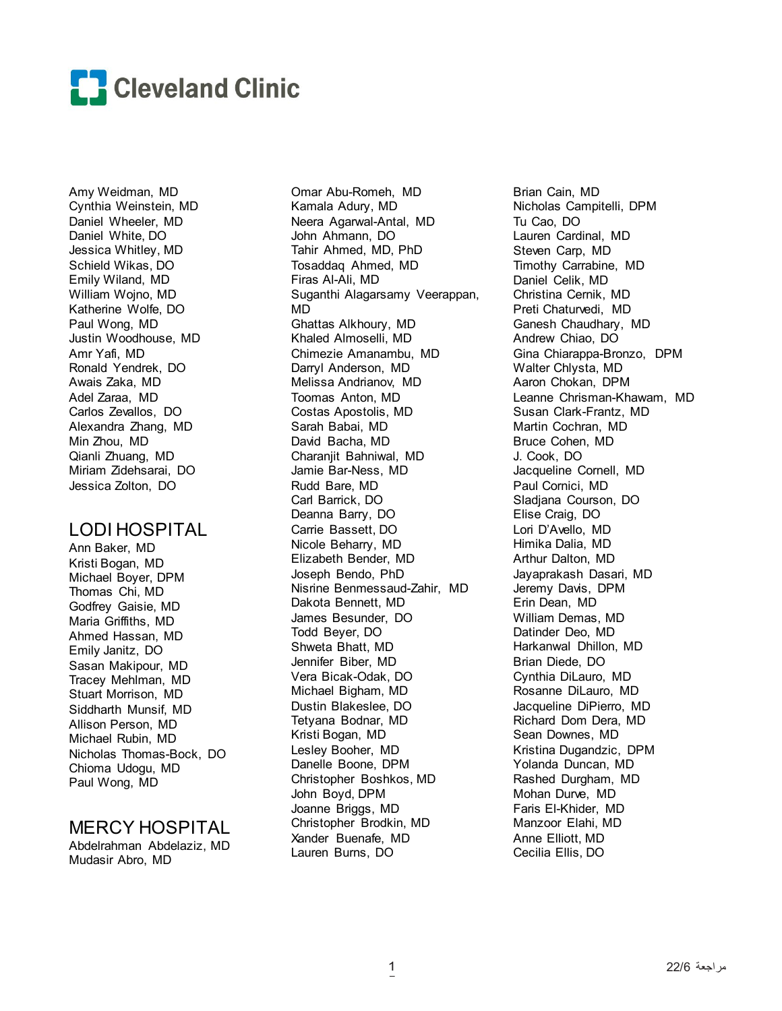

Amy Weidman, MD Cynthia Weinstein, MD Daniel Wheeler, MD Daniel White, DO Jessica Whitley, MD Schield Wikas, DO Emily Wiland, MD William Wojno, MD Katherine Wolfe, DO Paul Wong, MD Justin Woodhouse, MD Amr Yafi, MD Ronald Yendrek, DO Awais Zaka, MD Adel Zaraa, MD Carlos Zevallos, DO Alexandra Zhang, MD Min Zhou, MD Qianli Zhuang, MD Miriam Zidehsarai, DO Jessica Zolton, DO

## LODI HOSPITAL

Ann Baker, MD Kristi Bogan, MD Michael Boyer, DPM Thomas Chi, MD Godfrey Gaisie, MD Maria Griffiths, MD Ahmed Hassan, MD Emily Janitz, DO Sasan Makipour, MD Tracey Mehlman, MD Stuart Morrison, MD Siddharth Munsif, MD Allison Person, MD Michael Rubin, MD Nicholas Thomas-Bock, DO Chioma Udogu, MD Paul Wong, MD

# MERCY HOSPITAL

Abdelrahman Abdelaziz, MD Mudasir Abro, MD

Omar Abu-Romeh, MD Kamala Adury, MD Neera Agarwal-Antal, MD John Ahmann, DO Tahir Ahmed, MD, PhD Tosaddaq Ahmed, MD Firas Al-Ali, MD Suganthi Alagarsamy Veerappan, MD Ghattas Alkhoury, MD Khaled Almoselli, MD Chimezie Amanambu, MD Darryl Anderson, MD Melissa Andrianov, MD Toomas Anton, MD Costas Apostolis, MD Sarah Babai, MD David Bacha, MD Charanjit Bahniwal, MD Jamie Bar-Ness, MD Rudd Bare, MD Carl Barrick, DO Deanna Barry, DO Carrie Bassett, DO Nicole Beharry, MD Elizabeth Bender, MD Joseph Bendo, PhD Nisrine Benmessaud-Zahir, MD Dakota Bennett, MD James Besunder, DO Todd Beyer, DO Shweta Bhatt, MD Jennifer Biber, MD Vera Bicak-Odak, DO Michael Bigham, MD Dustin Blakeslee, DO Tetyana Bodnar, MD Kristi Bogan, MD Lesley Booher, MD Danelle Boone, DPM Christopher Boshkos, MD John Boyd, DPM Joanne Briggs, MD Christopher Brodkin, MD Xander Buenafe, MD Lauren Burns, DO

Brian Cain, MD Nicholas Campitelli, DPM Tu Cao, DO Lauren Cardinal, MD Steven Carp, MD Timothy Carrabine, MD Daniel Celik, MD Christina Cernik, MD Preti Chaturvedi, MD Ganesh Chaudhary, MD Andrew Chiao, DO Gina Chiarappa-Bronzo, DPM Walter Chlysta, MD Aaron Chokan, DPM Leanne Chrisman-Khawam, MD Susan Clark-Frantz, MD Martin Cochran, MD Bruce Cohen, MD J. Cook, DO Jacqueline Cornell, MD Paul Cornici, MD Sladjana Courson, DO Elise Craig, DO Lori D'Avello, MD Himika Dalia, MD Arthur Dalton, MD Jayaprakash Dasari, MD Jeremy Davis, DPM Erin Dean, MD William Demas, MD Datinder Deo, MD Harkanwal Dhillon, MD Brian Diede, DO Cynthia DiLauro, MD Rosanne DiLauro, MD Jacqueline DiPierro, MD Richard Dom Dera, MD Sean Downes, MD Kristina Dugandzic, DPM Yolanda Duncan, MD Rashed Durgham, MD Mohan Durve, MD Faris El-Khider, MD Manzoor Elahi, MD Anne Elliott, MD Cecilia Ellis, DO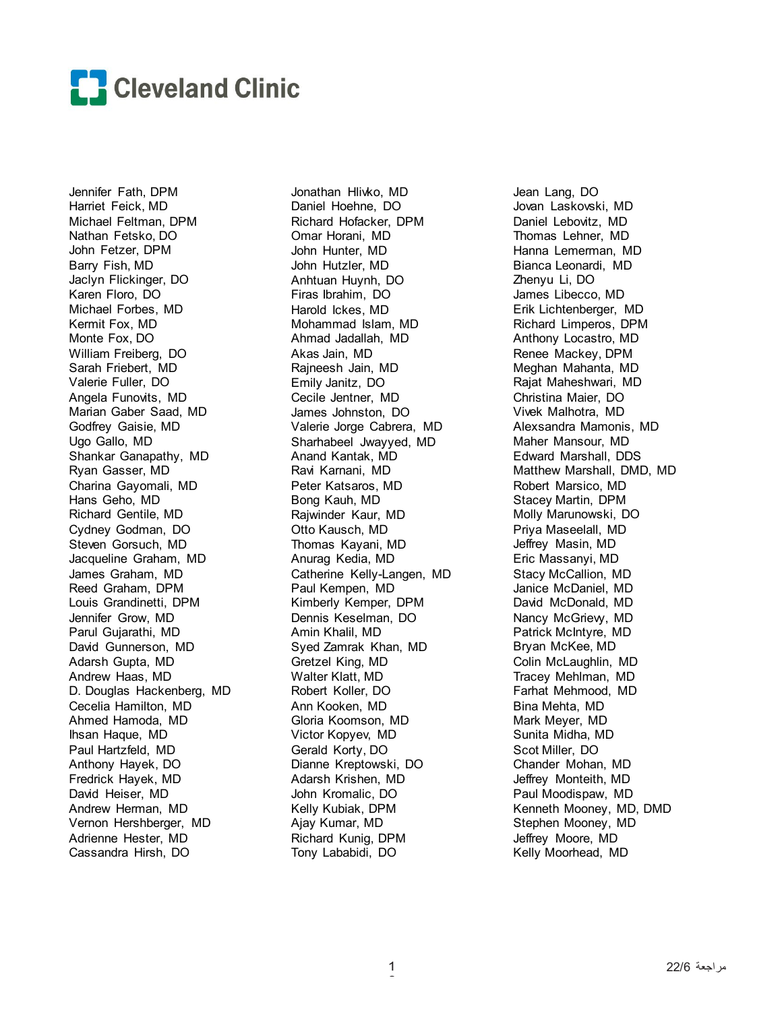

Jennifer Fath, DPM Harriet Feick, MD Michael Feltman, DPM Nathan Fetsko, DO John Fetzer, DPM Barry Fish, MD Jaclyn Flickinger, DO Karen Floro, DO Michael Forbes, MD Kermit Fox, MD Monte Fox, DO William Freiberg, DO Sarah Friebert, MD Valerie Fuller, DO Angela Funovits, MD Marian Gaber Saad, MD Godfrey Gaisie, MD Ugo Gallo, MD Shankar Ganapathy, MD Ryan Gasser, MD Charina Gayomali, MD Hans Geho, MD Richard Gentile, MD Cydney Godman, DO Steven Gorsuch, MD Jacqueline Graham, MD James Graham, MD Reed Graham, DPM Louis Grandinetti, DPM Jennifer Grow, MD Parul Gujarathi, MD David Gunnerson, MD Adarsh Gupta, MD Andrew Haas, MD D. Douglas Hackenberg, MD Cecelia Hamilton, MD Ahmed Hamoda, MD Ihsan Haque, MD Paul Hartzfeld, MD Anthony Hayek, DO Fredrick Hayek, MD David Heiser, MD Andrew Herman, MD Vernon Hershberger, MD Adrienne Hester, MD Cassandra Hirsh, DO

Jonathan Hlivko, MD Daniel Hoehne, DO Richard Hofacker, DPM Omar Horani, MD John Hunter, MD John Hutzler, MD Anhtuan Huynh, DO Firas Ibrahim, DO Harold Ickes, MD Mohammad Islam, MD Ahmad Jadallah, MD Akas Jain, MD Rajneesh Jain, MD Emily Janitz, DO Cecile Jentner, MD James Johnston, DO Valerie Jorge Cabrera, MD Sharhabeel Jwayyed, MD Anand Kantak, MD Ravi Karnani, MD Peter Katsaros, MD Bong Kauh, MD Rajwinder Kaur, MD Otto Kausch, MD Thomas Kayani, MD Anurag Kedia, MD Catherine Kelly-Langen, MD Paul Kempen, MD Kimberly Kemper, DPM Dennis Keselman, DO Amin Khalil, MD Syed Zamrak Khan, MD Gretzel King, MD Walter Klatt, MD Robert Koller, DO Ann Kooken, MD Gloria Koomson, MD Victor Kopyev, MD Gerald Korty, DO Dianne Kreptowski, DO Adarsh Krishen, MD John Kromalic, DO Kelly Kubiak, DPM Ajay Kumar, MD Richard Kunig, DPM Tony Lababidi, DO

Jean Lang, DO Jovan Laskovski, MD Daniel Lebovitz, MD Thomas Lehner, MD Hanna Lemerman, MD Bianca Leonardi, MD Zhenyu Li, DO James Libecco, MD Erik Lichtenberger, MD Richard Limperos, DPM Anthony Locastro, MD Renee Mackey, DPM Meghan Mahanta, MD Rajat Maheshwari, MD Christina Maier, DO Vivek Malhotra, MD Alexsandra Mamonis, MD Maher Mansour, MD Edward Marshall, DDS Matthew Marshall, DMD, MD Robert Marsico, MD Stacey Martin, DPM Molly Marunowski, DO Priya Maseelall, MD Jeffrey Masin, MD Eric Massanyi, MD Stacy McCallion, MD Janice McDaniel, MD David McDonald, MD Nancy McGrievy, MD Patrick McIntyre, MD Bryan McKee, MD Colin McLaughlin, MD Tracey Mehlman, MD Farhat Mehmood, MD Bina Mehta, MD Mark Meyer, MD Sunita Midha, MD Scot Miller, DO Chander Mohan, MD Jeffrey Monteith, MD Paul Moodispaw, MD Kenneth Mooney, MD, DMD Stephen Mooney, MD Jeffrey Moore, MD Kelly Moorhead, MD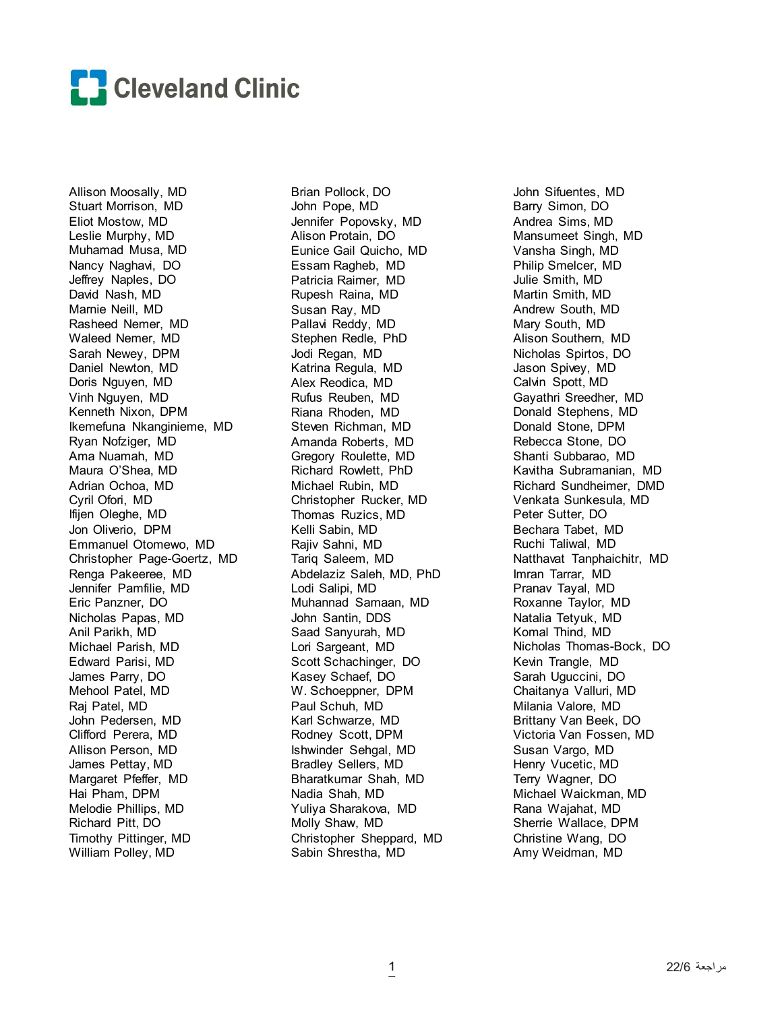

Allison Moosally, MD Stuart Morrison, MD Eliot Mostow, MD Leslie Murphy, MD Muhamad Musa, MD Nancy Naghavi, DO Jeffrey Naples, DO David Nash, MD Marnie Neill, MD Rasheed Nemer, MD Waleed Nemer, MD Sarah Newey, DPM Daniel Newton, MD Doris Nguyen, MD Vinh Nguyen, MD Kenneth Nixon, DPM Ikemefuna Nkanginieme, MD Ryan Nofziger, MD Ama Nuamah, MD Maura O'Shea, MD Adrian Ochoa, MD Cyril Ofori, MD Ifijen Oleghe, MD Jon Oliverio, DPM Emmanuel Otomewo, MD Christopher Page-Goertz, MD Renga Pakeeree, MD Jennifer Pamfilie, MD Eric Panzner, DO Nicholas Papas, MD Anil Parikh, MD Michael Parish, MD Edward Parisi, MD James Parry, DO Mehool Patel, MD Raj Patel, MD John Pedersen, MD Clifford Perera, MD Allison Person, MD James Pettay, MD Margaret Pfeffer, MD Hai Pham, DPM Melodie Phillips, MD Richard Pitt, DO Timothy Pittinger, MD William Polley, MD

Brian Pollock, DO John Pope, MD Jennifer Popovsky, MD Alison Protain, DO Eunice Gail Quicho, MD Essam Ragheb, MD Patricia Raimer, MD Rupesh Raina, MD Susan Ray, MD Pallavi Reddy, MD Stephen Redle, PhD Jodi Regan, MD Katrina Regula, MD Alex Reodica, MD Rufus Reuben, MD Riana Rhoden, MD Steven Richman, MD Amanda Roberts, MD Gregory Roulette, MD Richard Rowlett, PhD Michael Rubin, MD Christopher Rucker, MD Thomas Ruzics, MD Kelli Sabin, MD Rajiv Sahni, MD Tariq Saleem, MD Abdelaziz Saleh, MD, PhD Lodi Salipi, MD Muhannad Samaan, MD John Santin, DDS Saad Sanyurah, MD Lori Sargeant, MD Scott Schachinger, DO Kasey Schaef, DO W. Schoeppner, DPM Paul Schuh, MD Karl Schwarze, MD Rodney Scott, DPM Ishwinder Sehgal, MD Bradley Sellers, MD Bharatkumar Shah, MD Nadia Shah, MD Yuliya Sharakova, MD Molly Shaw, MD Christopher Sheppard, MD Sabin Shrestha, MD

John Sifuentes, MD Barry Simon, DO Andrea Sims, MD Mansumeet Singh, MD Vansha Singh, MD Philip Smelcer, MD Julie Smith, MD Martin Smith, MD Andrew South, MD Mary South, MD Alison Southern, MD Nicholas Spirtos, DO Jason Spivey, MD Calvin Spott, MD Gayathri Sreedher, MD Donald Stephens, MD Donald Stone, DPM Rebecca Stone, DO Shanti Subbarao, MD Kavitha Subramanian, MD Richard Sundheimer, DMD Venkata Sunkesula, MD Peter Sutter, DO Bechara Tabet, MD Ruchi Taliwal, MD Natthavat Tanphaichitr, MD Imran Tarrar, MD Pranav Tayal, MD Roxanne Taylor, MD Natalia Tetyuk, MD Komal Thind, MD Nicholas Thomas-Bock, DO Kevin Trangle, MD Sarah Uguccini, DO Chaitanya Valluri, MD Milania Valore, MD Brittany Van Beek, DO Victoria Van Fossen, MD Susan Vargo, MD Henry Vucetic, MD Terry Wagner, DO Michael Waickman, MD Rana Wajahat, MD Sherrie Wallace, DPM Christine Wang, DO Amy Weidman, MD